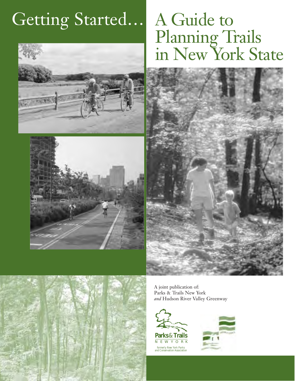# Getting Started…





# A Guide to Planning Trails in New York State





A joint publication of: Parks & Trails New York *and* Hudson River Valley Greenway

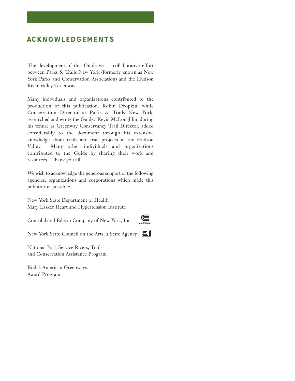# **ACKNOWLEDGEMENTS**

The development of this Guide was a collaborative effort between Parks & Trails New York (formerly known as New York Parks and Conservation Association) and the Hudson River Valley Greenway.

Many individuals and organizations contributed to the production of this publication. Robin Dropkin, while Conservation Director at Parks & Trails New York, researched and wrote the Guide. Kevin McLoughlin, during his tenure as Greenway Conservancy Trail Director, added considerably to the document through his extensive knowledge about trails and trail projects in the Hudson Valley. Many other individuals and organizations contributed to the Guide by sharing their work and resources. Thank you all.

We wish to acknowledge the generous support of the following agencies, organizations and corporations which made this publication possible:

New York State Department of Health Mary Lasker Heart and Hypertension Institute

Consolidated Edison Company of New York, Inc.

 $\mathbf{C}$ 

W

New York State Council on the Arts, a State Agency

National Park Service Rivers, Trails and Conservation Assistance Program

Kodak American Greenways Award Program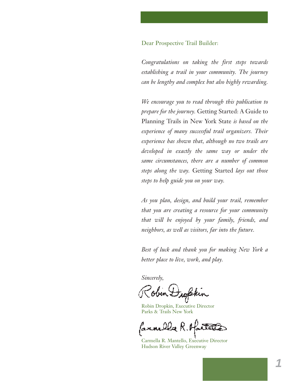# Dear Prospective Trail Builder:

*Congratulations on taking the first steps towards establishing a trail in your community. The journey can be lengthy and complex but also highly rewarding.*

*We encourage you to read through this publication to prepare for the journey.* Getting Started: A Guide to Planning Trails in New York State *is based on the experience of many successful trail organizers. Their experience has shown that, although no two trails are developed in exactly the same way or under the same circumstances, there are a number of common steps along the way.* Getting Started *lays out those steps to help guide you on your way.*

*As you plan, design, and build your trail, remember that you are creating a resource for your community that will be enjoyed by your family, friends, and neighbors, as well as visitors, far into the future.*

*Best of luck and thank you for making New York a better place to live, work, and play.*

*Sincerely,*

Robin Dropkin, Executive Director Parks & Trails New York

Carmella R. Mantello, Executive Director Hudson River Valley Greenway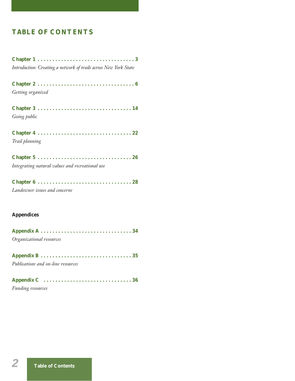# **TABLE OF CONTENTS**

| Introduction: Creating a network of trails across New York State |
|------------------------------------------------------------------|
|                                                                  |
| Getting organized                                                |
|                                                                  |
| Going public                                                     |
|                                                                  |
| Trail planning                                                   |
|                                                                  |
| Integrating natural values and recreational use                  |
|                                                                  |
| Landowner issues and concerns                                    |
|                                                                  |

# **Appendices**

| Organizational resources           |  |
|------------------------------------|--|
|                                    |  |
|                                    |  |
| Publications and on-line resources |  |

| <b>Funding resources</b> |  |  |  |  |  |  |  |  |  |  |  |  |  |  |  |  |
|--------------------------|--|--|--|--|--|--|--|--|--|--|--|--|--|--|--|--|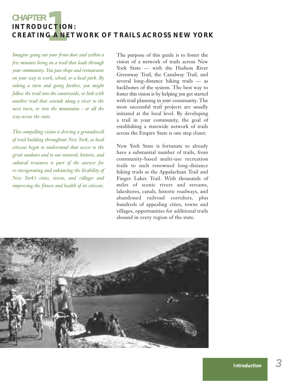# **1** CHAPTER<br>INTRODUCTIO<br>CREATING A NI **INTRODUCTION: CREATING A NETWORK OF TRAILS ACROSS NEW YORK**

*Imagine going out your front door and within a few minutes being on a trail that leads through your community. You pass shops and restaurants on your way to work, school, or a local park. By taking a turn and going farther, you might follow the trail into the countryside, or link with another trail that extends along a river to the next town, or into the mountains - or all the way across the state.*

*This compelling vision is driving a groundswell of trail building throughout New York, as local citizens begin to understand that access to the great outdoors and to our natural, historic, and cultural treasures is part of the answer for re-invigorating and enhancing the livability of New York's cities, towns, and villages and improving the fitness and health of its citizens.*

The purpose of this guide is to foster the vision of a network of trails across New York State — with the Hudson River Greenway Trail, the Canalway Trail, and several long-distance hiking trails — as backbones of the system. The best way to foster this vision is by helping *you* get started with trail planning in *your* community. The most successful trail projects are usually initiated at the local level. By developing a trail in your community, the goal of establishing a statewide network of trails across the Empire State is one step closer.

New York State is fortunate to already have a substantial number of trails, from community-based multi-use recreation trails to such renowned long-distance hiking trails as the Appalachian Trail and Finger Lakes Trail. With thousands of miles of scenic rivers and streams, lakeshores, canals, historic roadways, and abandoned railroad corridors, plus hundreds of appealing cities, towns and villages, opportunities for additional trails abound in every region of the state.

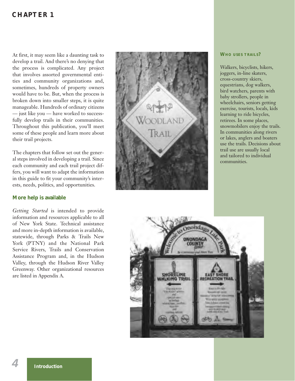# **CHAPTER 1**

At first, it may seem like a daunting task to develop a trail. And there's no denying that the process is complicated. Any project that involves assorted governmental entities and community organizations and, sometimes, hundreds of property owners would have to be. But, when the process is broken down into smaller steps, it is quite manageable. Hundreds of ordinary citizens — just like you — have worked to successfully develop trails in their communities. Throughout this publication, you'll meet some of these people and learn more about their trail projects.

The chapters that follow set out the general steps involved in developing a trail. Since each community and each trail project differs, you will want to adapt the information in this guide to fit your community's interests, needs, politics, and opportunities.

# **More help is available**

*Getting Started* is intended to provide information and resources applicable to all of New York State. Technical assistance and more in-depth information is available, statewide, through Parks & Trails New York (PTNY) and the National Park Service Rivers, Trails and Conservation Assistance Program and, in the Hudson Valley, through the Hudson River Valley Greenway. Other organizational resources are listed in Appendix A.



#### **WHO USES TRAILS?**

Walkers, bicyclists, hikers, joggers, in-line skaters, cross-country skiers, equestrians, dog walkers, bird watchers, parents with baby strollers, people in wheelchairs, seniors getting exercise, tourists, locals, kids learning to ride bicycles, retirees. In some places, snowmobilers enjoy the trails. In communities along rivers or lakes, anglers and boaters use the trails. Decisions about trail use are usually local and tailored to individual communities.



*4*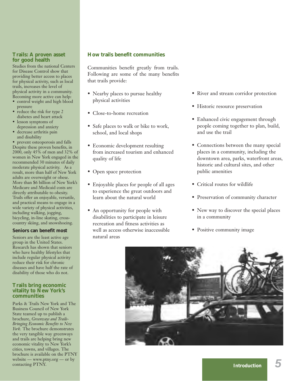# **Trails: A proven asset for good health**

Studies from the national Centers for Disease Control show that providing better access to places for physical activity, such as local trails, increases the level of physical activity in a community. Becoming more active can help:

- control weight and high blood pressure
- reduce the risk for type 2 diabetes and heart attack
- lesson symptoms of depression and anxiety
- decrease arthritis pain and disability

• prevent osteoporosis and falls Despite these proven benefits, in 2000, only 45% of men and 32% of women in New York engaged in the recommended 30 minutes of daily moderate physical activity. As a result, more than half of New York adults are overweight or obese. More than \$6 billion of New York's Medicare and Medicaid costs are directly attributable to obesity. Trails offer an enjoyable, versatile, and practical means to engage in a wide variety of physical activities, including walking, jogging, bicycling, in-line skating, crosscountry skiing, and snowshoeing.

## **Seniors can benefit most**

Seniors are the least active age group in the United States. Research has shown that seniors who have healthy lifestyles that include regular physical activity reduce their risk for chronic diseases and have half the rate of disability of those who do not.

#### **Trails bring economic vitality to New York's communities**

Parks & Trails New York and The Business Council of New York State teamed up to publish a brochure, *Greenways and Trails-Bringing Economic Benefits to New York.* The brochure demonstrates the very tangible way greenways and trails are helping bring new economic vitality to New York's cities, towns, and villages. The brochure is available on the PTNY website — www.ptny.org — or by contacting PTNY.

# **How trails benefit communities**

Communities benefit greatly from trails. Following are some of the many benefits that trails provide:

- Nearby places to pursue healthy physical activities
- Close-to-home recreation
- Safe places to walk or bike to work, school, and local shops
- Economic development resulting from increased tourism and enhanced quality of life
- Open space protection
- Enjoyable places for people of all ages to experience the great outdoors and learn about the natural world
- An opportunity for people with disabilities to participate in leisure recreation and fitness activities as well as access otherwise inaccessible natural areas
- River and stream corridor protection
- Historic resource preservation
- Enhanced civic engagement through people coming together to plan, build, and use the trail
- Connections between the many special places in a community, including the downtown area, parks, waterfront areas, historic and cultural sites, and other public amenities
- Critical routes for wildlife
- Preservation of community character
- New way to discover the special places in a community
- Positive community image



*5*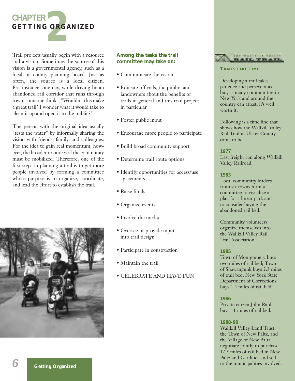

Trail projects usually begin with a resource and a vision. Sometimes the source of this vision is a governmental agency, such as a local or county planning board. Just as often, the source is a local citizen. For instance, one day, while driving by an abandoned rail corridor that runs through town, someone thinks, "Wouldn't this make a great trail? I wonder what it would take to clean it up and open it to the public?"

The person with the original idea usually "tests the water" by informally sharing the vision with friends, family, and colleagues. For the idea to gain real momentum, however, the broader resources of the community must be mobilized. Therefore, one of the first steps in planning a trail is to get more people involved by forming a committee whose purpose is to organize, coordinate, and lead the effort to establish the trail.



# **Among the tasks the trail committee may take on:**

- Communicate the vision
- Educate officials, the public, and landowners about the benefits of trails in general and this trail project in particular
- Foster public input
- Encourage more people to participate
- Build broad community support
- Determine trail route options
- Identify opportunities for access/use agreements
- Raise funds
- Organize events
- Involve the media
- Oversee or provide input into trail design
- Participate in construction
- Maintain the trail
- CELEBRATE AND HAVE FUN



# **TRAILS TAKE TIME**

Developing a trail takes patience and perseverance but, as many communities in New York and around the country can attest, it's well worth it.

Following is a time line that shows how the Wallkill Valley Rail Trail in Ulster County came to be.

# **1977**

Last freight run along Wallkill Valley Railroad.

# **1983**

Local community leaders from six towns form a committee to visualize a plan for a linear park and to consider buying the abandoned rail bed.

Community volunteers organize themselves into the Wallkill Valley Rail Trail Association.

# **1985**

Town of Montgomery buys two miles of rail bed; Town of Shawangunk buys 2.3 miles of trail bed; New York State Department of Corrections buys 1.4 miles of rail bed.

# **1986**

Private citizen John Rahl buys 11 miles of rail bed.

# **1988-90**

Wallkill Valley Land Trust, the Town of New Paltz, and the Village of New Paltz negotiate jointly to purchase 12.5 miles of rail bed in New Paltz and Gardiner and sell to the municipalities involved.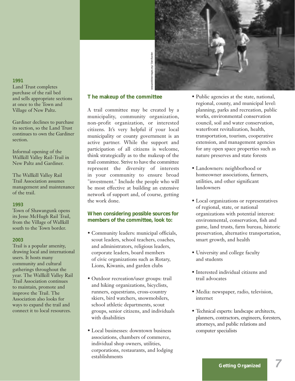

# **1991**

Land Trust completes purchase of the rail bed and sells appropriate sections at once to the Town and Village of New Paltz.

Gardiner declines to purchase its section, so the Land Trust continues to own the Gardiner section.

Informal opening of the Wallkill Valley Rail-Trail in New Paltz and Gardiner.

The Wallkill Valley Rail Trail Association assumes management and maintenance of the trail.

#### **1993**

Town of Shawangunk opens its Jesse McHugh Rail Trail, from the Village of Wallkill south to the Town border.

#### **2003**

Trail is a popular amenity, drawing local and international users. It hosts many community and cultural gatherings throughout the year. The Wallkill Valley Rail Trail Association continues to maintain, promote and improve the Trail. The Association also looks for ways to expand the trail and connect it to local resources.

# **The makeup of the committee**

A trail committee may be created by a municipality, community organization, non-profit organization, or interested citizens. It's very helpful if your local municipality or county government is an active partner. While the support and participation of all citizens is welcome, think strategically as to the makeup of the trail committee. Strive to have the committee represent the diversity of interests in your community to ensure broad "investment." Include the people who will be most effective at building an extensive network of support and, of course, getting the work done.

# **When considering possible sources for members of the committee, look to:**

- Community leaders: municipal officials, scout leaders, school teachers, coaches, and administrators, religious leaders, corporate leaders, board members of civic organizations such as Rotary, Lions, Kiwanis, and garden clubs
- Outdoor recreation/user groups: trail and hiking organizations, bicyclists, runners, equestrians, cross-country skiers, bird watchers, snowmobilers, school athletic departments, scout groups, senior citizens, and individuals with disabilities
- Local businesses: downtown business associations, chambers of commerce, individual shop owners, utilities, corporations, restaurants, and lodging establishments
- Public agencies at the state, national, regional, county, and municipal level: planning, parks and recreation, public works, environmental conservation council, soil and water conservation, waterfront revitalization, health, transportation, tourism, cooperative extension, and management agencies for any open space properties such as nature preserves and state forests
- Landowners: neighborhood or homeowner associations, farmers, utilities, and other significant landowners
- Local organizations or representatives of regional, state, or national organizations with potential interest: environmental, conservation, fish and game, land trusts, farm bureau, historic preservation, alternative transportation, smart growth, and health
- University and college faculty and students
- Interested individual citizens and trail advocates
- Media: newspaper, radio, television, internet
- Technical experts: landscape architects, planners, contractors, engineers, foresters, attorneys, and public relations and computer specialists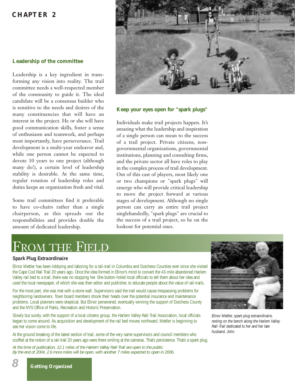# **CHAPTER 2**

# **Leadership of the committee**

Leadership is a key ingredient in transforming any vision into reality. The trail committee needs a well-respected member of the community to guide it. The ideal candidate will be a consensus builder who is sensitive to the needs and desires of the many constituencies that will have an interest in the project. He or she will have good communication skills, foster a sense of enthusiasm and teamwork, and perhaps most importantly, have perseverance. Trail development is a multi-year endeavor and, while one person cannot be expected to devote 10 years to one project (although many do!), a certain level of leadership stability is desirable. At the same time, regular rotation of leadership roles and duties keeps an organization fresh and vital.

Some trail committees find it preferable to have co-chairs rather than a single chairperson, as this spreads out the responsibilities and provides double the amount of dedicated leadership.



# **Keep your eyes open for "spark plugs"**

Individuals make trail projects happen. It's amazing what the leadership and inspiration of a single person can mean to the success of a trail project. Private citizens, nongovernmental organizations, governmental institutions, planning and consulting firms, and the private sector all have roles to play in the complex process of trail development. Out of this cast of players, most likely one or two champions or "spark plugs" will emerge who will provide critical leadership to move the project forward at various stages of development. Although no single person can carry an entire trail project singlehandedly, "spark plugs" are crucial to the success of a trail project, so be on the lookout for potential ones.

# FROM THE FIELD

## **Spark Plug Extraordinaire**

Elinor Mettler has been lobbying and laboring for a rail-trail in Columbia and Dutchess Counties ever since she visited the Cape Cod Rail Trail 20 years ago. Once the idea formed in Elinor's mind to convert the 43-mile abandoned Harlem Valley rail bed to a trail, there was no stopping her. She button-holed local officials to tell them about her idea and used the local newspaper, of which she was then editor and publisher, to educate people about the value of rail-trails.

For the most part, she was met with a stone wall. Supervisors said the trail would cause trespassing problems for neighboring landowners. Town board members shook their heads over the potential insurance and maintenance problems. Local planners were skeptical. But Elinor persevered, eventually winning the support of Dutchess County and the NYS Office of Parks, Recreation and Historic Preservation.

Slowly but surely, with the support of a local citizens group, the Harlem Valley Rail-Trail Association, local officials began to come around. As acquisition and development of the rail bed moves northward. Mettler is beginning to see her vision come to life.

At the ground breaking of the latest section of trail, some of the very same supervisors and council members who scoffed at the notion of a rail-trail 20 years ago were there smiling at the cameras. That's persistence. That's a spark plug.

*At the time of publication, 12.1 miles of the Harlem Valley Rail-Trail are open to the public. By the end of 2004, 2.6 more miles will be open, with another 7 miles expected to open in 2006.*



*Elinor Mettler, spark plug extraordinaire, resting on the bench along the Harlem Valley Rail-Trail dedicated to her and her late husband, John.*

*8*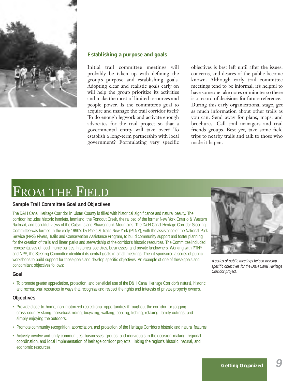

# **Establishing a purpose and goals**

Initial trail committee meetings will probably be taken up with defining the group's purpose and establishing goals. Adopting clear and realistic goals early on will help the group prioritize its activities and make the most of limited resources and people power. Is the committee's goal to acquire and manage the trail corridor itself? To do enough legwork and activate enough advocates for the trail project so that a governmental entity will take over? To establish a long-term partnership with local government? Formulating very specific

objectives is best left until after the issues, concerns, and desires of the public become known. Although early trail committee meetings tend to be informal, it's helpful to have someone take notes or minutes so there is a record of decisions for future reference. During this early organizational stage, get as much information about other trails as you can. Send away for plans, maps, and brochures. Call trail managers and trail friends groups. Best yet, take some field trips to nearby trails and talk to those who made it hapen.

# FROM THE FIELD

# **Sample Trail Committee Goal and Objectives**

The D&H Canal Heritage Corridor in Ulster County is filled with historical significance and natural beauty. The corridor includes historic hamlets, farmland, the Rondout Creek, the railbed of the former New York Ontario & Western Railroad, and beautiful views of the Catskills and Shawangunk Mountains. The D&H Canal Heritage Corridor Steering Committee was formed in the early 1990's by Parks & Trails New York (PTNY), with the assistance of the National Park Service (NPS) Rivers, Trails and Conservation Assistance Program, to build community support and foster planning for the creation of trails and linear parks and stewardship of the corridor's historic resources. The Committee included representatives of local municipalities, historical societies, businesses, and private landowners. Working with PTNY and NPS, the Steering Committee identified its central goals in small meetings. Then it sponsored a series of public workshops to build support for those goals and develop specific objectives. An example of one of these goals and concomitant objectives follows:

## **Goal**

• To promote greater appreciation, protection, and beneficial use of the D&H Canal Heritage Corridor's natural, historic, and recreational resources in ways that recognize and respect the rights and interests of private property owners.

# **Objectives**

- Provide close-to-home, non-motorized recreational opportunities throughout the corridor for jogging, cross-country skiing, horseback riding, bicycling, walking, boating, fishing, relaxing, family outings, and simply enjoying the outdoors.
- Promote community recognition, appreciation, and protection of the Heritage Corridor's historic and natural features.
- Actively involve and unify communities, businesses, groups, and individuals in the decision-making, regional coordination, and local implementation of heritage corridor projects, linking the region's historic, natural, and economic resources.



*A series of public meetings helped develop specific objectives for the D&H Canal Heritage Corridor project.*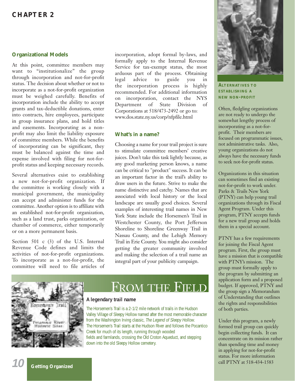# **CHAPTER 2**

# **Organizational Models**

At this point, committee members may want to "institutionalize" the group through incorporation and not-for-profit status. The decision about whether or not to incorporate as a not-for-profit organization must be weighed carefully. Benefits of incorporation include the ability to accept grants and tax-deductible donations, enter into contracts, hire employees, participate in group insurance plans, and hold titles and easements. Incorporating as a nonprofit may also limit the liability exposure of committee members. While the benefits of incorporating can be significant, they must be balanced against the time and expense involved with filing for not-forprofit status and keeping necessary records.

Several alternatives exist to establishing a new not-for-profit organization. If the committee is working closely with a municipal government, the municipality can accept and administer funds for the committee. Another option is to affiliate with an established not-for-profit organization, such as a land trust, parks organization, or chamber of commerce, either temporarily or on a more permanent basis.

Section 501 c (3) of the U.S. Internal Revenue Code defines and limits the activities of not-for-profit organizations. To incorporate as a not-for-profit, the committee will need to file articles of

incorporation, adopt formal by-laws, and formally apply to the Internal Revenue Service for tax-exempt status, the most arduous part of the process. Obtaining legal advice to guide you in the incorporation process is highly recommended. For additional information on incorporation, contact the NYS Department of State Division of Corporations at 518/473-2492 or go to: www.dos.state.ny.us/corp/nfpfile.html

# **What's in a name?**

Choosing a name for your trail project is sure to stimulate committee members' creative juices. Don't take this task lightly because, as any good marketing person knows, a name can be critical to "product" success. It can be an important factor in the trail's ability to draw users in the future. Strive to make the name distinctive and catchy. Names that are associated with local history or the local landscape are usually good choices. Several examples of interesting trail names in New York State include the Horsemen's Trail in Westchester County, the Port Jefferson Shoreline to Shoreline Greenway Trail in Nassau County, and the Lehigh Memory Trail in Erie County. You might also consider getting the greater community involved and making the selection of a trail name an integral part of your publicity campaign.



# FROM THE FIELD

# **A legendary trail name**

The Horsemen's Trail is a 2-1/2 mile network of trails in the Hudson Valley Village of Sleepy Hollow named after the most memorable character from the Washington Irving classic, *The Legend of Sleepy Hollow*. The Horsemen's Trail starts at the Hudson River and follows the Pocantico Creek for much of its length, running through wooded fields and farmlands, crossing the Old Croton Aqueduct, and stepping down into the old Sleepy Hollow cemetery.



**ALTERNATIVES TO ESTABLISHING A NEW NON-PROFIT**

Often, fledgling organizations are not ready to undergo the somewhat lengthy process of incorporating as a not-forprofit. Their members are focused on programmatic issues, not administrative tasks. Also, young organizations do not always have the necessary funds to seek not-for-profit status.

Organizations in this situation can sometimes find an existing not-for-profit to work under. Parks & Trails New York (PTNY) can help young trail organizations through its Fiscal Agent Program. Under this program, PTNY accepts funds for a new trail group and holds them in a special account.

PTNY has a few requirements for joining the Fiscal Agent program. First, the group must have a mission that is compatible with PTNY's mission. The group must formally apply to the program by submitting an application form and a proposed budget. If approved, PTNY and the group sign a Memorandum of Understanding that outlines the rights and responsibilities of both parties.

Under this program, a newly formed trail group can quickly begin collecting funds. It can concentrate on its mission rather than spending time and money in applying for not-for-profit status. For more information call PTNY at 518-434-1583

**Getting Organized** *10*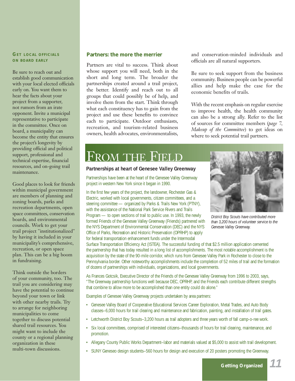# **GET LOCAL OFFICIALS ON BOARD EARLY**

Be sure to reach out and establish good communication with your local elected officials early on. You want them to hear the facts about your project from a supporter, not rumors from an irate opponent. Invite a municipal representative to participate in the committee. Once on board, a municipality can become the entity that ensures the project's longevity by providing official and political support, professional and technical expertise, financial resources, and on-going trail maintenance.

Good places to look for friends within municipal government are members of planning and zoning boards, parks and recreation departments, open space committees, conservation boards, and environmental councils. Work to get your trail project "institutionalized" by having it included in your municipality's comprehensive, recreation, or open space plan. This can be a big boom in fundraising.

Think outside the borders of your community, too. The trail you are considering may have the potential to continue beyond your town or link with other nearby trails. Try to arrange for neighboring municipalities to come together to discuss potential shared trail resources. You might want to include the county or a regional planning organization in these multi-town discussions.

# **Partners: the more the merrier**

Partners are vital to success. Think about whose support you will need, both in the short and long term. The broader the partnerships created around a trail project, the better. Identify and reach out to all groups that could possibly be of help, and involve them from the start. Think through what each constituency has to gain from the project and use these benefits to convince each to participate. Outdoor enthusiasts, recreation, and tourism-related business owners, health advocates, environmentalists, and conservation-minded individuals and officials are all natural supporters.

Be sure to seek support from the business community. Business people can be powerful allies and help make the case for the economic benefits of trails.

With the recent emphasis on regular exercise to improve health, the health community can also be a strong ally. Refer to the list of sources for committee members (*page 7, Makeup of the Committee*) to get ideas on where to seek potential trail partners.

# FROM THE FIELD

#### **Partnerships at heart of Genesee Valley Greenway**

Partnerships have been at the heart of the Genesee Valley Greenway project in western New York since it began in 1990.

In the first few years of the project, the landowner, Rochester Gas & Electric, worked with local governments, citizen committees, and a steering committee — organized by Parks & Trails New York (PTNY), with the assistance of the National Park Service Rivers and Trails Program — to open sections of trail to public use. In 1993, the newly formed Friends of the Genesee Valley Greenway (Friends) partnered with the NYS Department of Environmental Conservation (DEC) and the NYS Office of Parks, Recreation and Historic Preservation (OPRHP) to apply for federal transportation enhancement funds under the Intermodal



*District Boy Scouts have contributed more than 3,200 hours of volunteer service to the Genesee Valley Greenway.*

Surface Transportation Efficiency Act (ISTEA). The successful funding of that \$2.5 million application cemented the partnership that has today resulted in a long list of accomplishments. The most notable accomplishment is the acquisition by the state of the 90-mile corridor, which runs from Genesee Valley Park in Rochester to close to the Pennsylvania border. Other noteworthy accomplishments include the completion of 52 miles of trail and the formation of dozens of partnerships with individuals, organizations, and local governments.

As Frances Gotcsik, Executive Director of the Friends of the Genesee Valley Greenway from 1996 to 2003, says, "The Greenway partnership functions well because DEC, OPRHP, and the Friends each contribute different strengths that combine to allow more to be accomplished than one entity could do alone."

Examples of Genesee Valley Greenway projects undertaken by area partners:

- Genesee Valley Board of Cooperative Educational Services Career Exploration, Metal Trades, and Auto Body classes–6,000 hours for trail clearing and maintenance and fabrication, painting, and installation of trail gates.
- Letchworth District Boy Scouts–3,200 hours as trail adopters and three years worth of fall camp-o-ree work.
- Six local committees, comprised of interested citizens–thousands of hours for trail clearing, maintenance, and promotion.
- Allegany County Public Works Department–labor and materials valued at \$5,000 to assist with trail development.
- SUNY Geneseo design students–560 hours for design and execution of 20 posters promoting the Greenway.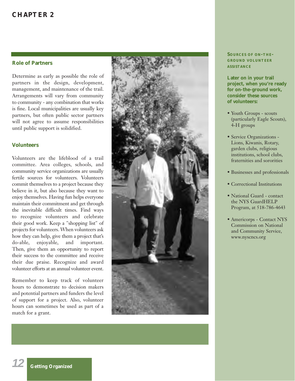# **CHAPTER 2**

# **Role of Partners**

Determine as early as possible the role of partners in the design, development, management, and maintenance of the trail. Arrangements will vary from community to community - any combination that works is fine. Local municipalities are usually key partners, but often public sector partners will not agree to assume responsibilities until public support is solidified.

# **Volunteers**

**Volunteers**<br>
Volunteers<br>
community s<br>
fertile sourc<br>
community s<br>
fertile sourc<br>
commit then<br>
believe in it,<br>
enjoy themse<br>
maintain the<br>
their good w<br>
projects for v<br>
how they car<br>
do-able, e<br>
do-able, e<br>
their success<br> Volunteers are the lifeblood of a trail committee. Area colleges, schools, and community service organizations are usually fertile sources for volunteers. Volunteers commit themselves to a project because they believe in it, but also because they want to enjoy themselves. Having fun helps everyone maintain their commitment and get through the inevitable difficult times. Find ways to recognize volunteers and celebrate their good work. Keep a "shopping list" of projects for volunteers. When volunteers ask how they can help, give them a project that's do-able, enjoyable, and important. Then, give them an opportunity to report their success to the committee and receive their due praise. Recognize and award volunteer efforts at an annual volunteer event.

Remember to keep track of volunteer hours to demonstrate to decision makers and potential partners and funders the level of support for a project. Also, volunteer hours can sometimes be used as part of a match for a grant.



**SOURCES OF ON -THE - GROUND VOLUNTEER ASSISTANCE**

**Later on in your trail project, when you're ready for on-the-ground work, consider these sources of volunteers:**

- Youth Groups scouts (particularly Eagle Scouts), 4-H groups
- Service Organizations Lions, Kiwanis, Rotary, garden clubs, religious institutions, school clubs, fraternities and sororities
- Businesses and professionals
- Correctional Institutions
- National Guard contact the NYS GuardHELP Program, at 518-786-4643
- Americorps Contact NYS Commission on National and Community Service, www.nyscncs.org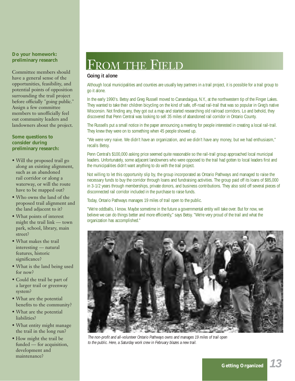# **Do your homework: preliminary research**

Committee members should have a general sense of the opportunities, feasibility, and potential points of opposition surrounding the trail project before officially "going public." Assign a few committee members to unofficially feel out community leaders and landowners about the project.

# **Some questions to consider during preliminary research:**

- Will the proposed trail go along an existing alignment, such as an abandoned rail corridor or along a waterway, or will the route have to be mapped out?
- Who owns the land of the proposed trail alignment and the land adjacent to it?
- What points of interest might the trail link — town park, school, library, main street?
- What makes the trail interesting — natural features, historic significance?
- What is the land being used for now?
- Could the trail be part of a larger trail or greenway system?
- What are the potential benefits to the community?
- What are the potential liabilities?
- What entity might manage the trail in the long run?
- How might the trail be funded — for acquisition, development and maintenance?

# FROM THE FIELD

# **Going it alone**

Although local municipalities and counties are usually key partners in a trail project, it is possible for a trail group to go it alone.

In the early 1990's. Betsy and Greg Russell moved to Canandaigua, N.Y., at the northwestern tip of the Finger Lakes. They wanted to take their children bicycling on the kind of safe, off-road rail-trail that was so popular in Greg's native Wisconsin. Not finding any, they got out a map and started researching old railroad corridors. Lo and behold, they discovered that Penn Central was looking to sell 35 miles of abandoned rail corridor in Ontario County.

The Russells put a small notice in the paper announcing a meeting for people interested in creating a local rail-trail. They knew they were on to something when 45 people showed up.

"We were very naive. We didn't have an organization, and we didn't have any money, but we had enthusiasm," recalls Betsy.

Penn Central's \$100,000 asking price seemed quite reasonable so the rail-trail group approached local municipal leaders. Unfortunately, some adjacent landowners who were opposed to the trail had gotten to local leaders first and the municipalities didn't want anything to do with the trail project.

Not willing to let this opportunity slip by, the group incorporated as Ontario Pathways and managed to raise the necessary funds to buy the corridor through loans and fundraising activities. The group paid off its loans of \$85,000 in 3-1/2 years through memberships, private donors, and business contributions. They also sold off several pieces of disconnected rail corridor included in the purchase to raise funds.

Today, Ontario Pathways manages 19 miles of trail open to the public.

"We're oddballs, I know. Maybe sometime in the future a governmental entity will take over. But for now, we believe we can do things better and more efficiently," says Betsy. "We're very proud of the trail and what the organization has accomplished."



*The non-profit and all-volunteer Ontario Pathways owns and manages 19 miles of trail open to the public. Here, a Saturday work crew in February blazes a new trail.*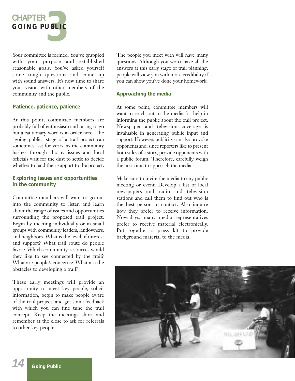

Your committee is formed. You've grappled with your purpose and established reasonable goals. You've asked yourself some tough questions and come up with sound answers. It's now time to share your vision with other members of the community and the public.

# **Patience, patience, patience**

At this point, committee members are probably full of enthusiasm and raring to go but a cautionary word is in order here. The "going public" stage of a trail project can sometimes last for years, as the community hashes through thorny issues and local officials wait for the dust to settle to decide whether to lend their support to the project.

# **Exploring issues and opportunities in the community**

Committee members will want to go out into the community to listen and learn about the range of issues and opportunities surrounding the proposed trail project. Begin by meeting individually or in small groups with community leaders, landowners, and neighbors. What is the level of interest and support? What trail route do people favor? Which community resources would they like to see connected by the trail? What are people's concerns? What are the obstacles to developing a trail?

These early meetings will provide an opportunity to meet key people, solicit information, begin to make people aware of the trail project, and get some feedback with which you can fine tune the trail concept. Keep the meetings short and remember at the close to ask for referrals to other key people.

The people you meet with will have many questions. Although you won't have all the answers at this early stage of trail planning, people will view you with more credibility if you can show you've done your homework.

# **Approaching the media**

At some point, committee members will want to reach out to the media for help in informing the public about the trail project. Newspaper and television coverage is invaluable in generating public input and support. However, publicity can also provoke opponents and, since reporters like to present both sides of a story, provide opponents with a public forum. Therefore, carefully weigh the best time to approach the media.

Make sure to invite the media to any public meeting or event. Develop a list of local newspapers and radio and television stations and call them to find out who is the best person to contact. Also inquire how they prefer to receive information. Nowadays, many media representatives prefer to receive material electronically. Put together a press kit to provide background material to the media.

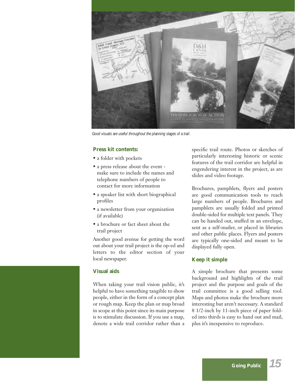

*Good visuals are useful throughout the planning stages of a trail.*

# **Press kit contents:**

- a folder with pockets
- a press release about the event make sure to include the names and telephone numbers of people to contact for more information
- a speaker list with short biographical profiles
- a newsletter from your organization (if available)
- a brochure or fact sheet about the trail project

Another good avenue for getting the word out about your trail project is the op-ed and letters to the editor section of your local newspaper.

# **Visual aids**

When taking your trail vision public, it's helpful to have something tangible to show people, either in the form of a concept plan or rough map. Keep the plan or map broad in scope at this point since its main purpose is to stimulate discussion. If you use a map, denote a wide trail corridor rather than a specific trail route. Photos or sketches of particularly interesting historic or scenic features of the trail corridor are helpful in engendering interest in the project, as are slides and video footage.

Brochures, pamphlets, flyers and posters are good communication tools to reach large numbers of people. Brochures and pamphlets are usually folded and printed double-sided for multiple text panels. They can be handed out, stuffed in an envelope, sent as a self-mailer, or placed in libraries and other public places. Flyers and posters are typically one-sided and meant to be displayed fully open.

# **Keep it simple**

A simple brochure that presents some background and highlights of the trail project and the purpose and goals of the trail committee is a good selling tool. Maps and photos make the brochure more interesting but aren't necessary. A standard 8 1/2-inch by 11-inch piece of paper folded into thirds is easy to hand out and mail, plus it's inexpensive to reproduce.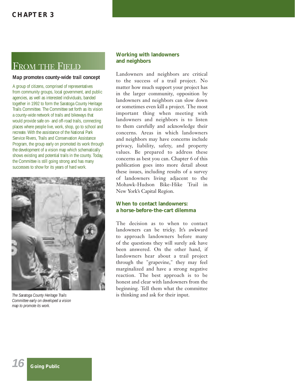# FROM THE FIELD

# **Map promotes county-wide trail concept**

A group of citizens, comprised of representatives from community groups, local government, and public agencies, as well as interested individuals, banded together in 1992 to form the Saratoga County Heritage Trails Committee. The Committee set forth as its vision a county-wide network of trails and bikeways that would provide safe on- and off-road trails, connecting places where people live, work, shop, go to school and recreate. With the assistance of the National Park Service Rivers, Trails and Conservation Assistance Program, the group early on promoted its work through the development of a vision map which schematically shows existing and potential trails in the county. Today, the Committee is still going strong and has many successes to show for its years of hard work.



*The Saratoga County Heritage Trails Committee early on developed a vision map to promote its work.*

# **Working with landowners and neighbors**

Landowners and neighbors are critical to the success of a trail project. No matter how much support your project has in the larger community, opposition by landowners and neighbors can slow down or sometimes even kill a project. The most important thing when meeting with landowners and neighbors is to listen to them carefully and acknowledge their concerns. Areas in which landowners and neighbors may have concerns include privacy, liability, safety, and property values. Be prepared to address these concerns as best you can. Chapter 6 of this publication goes into more detail about these issues, including results of a survey of landowners living adjacent to the Mohawk-Hudson Bike-Hike Trail in New York's Capital Region.

# **When to contact landowners: a horse-before-the-cart dilemma**

The decision as to when to contact landowners can be tricky. It's awkward to approach landowners before many of the questions they will surely ask have been answered. On the other hand, if landowners hear about a trail project through the "grapevine," they may feel marginalized and have a strong negative reaction. The best approach is to be honest and clear with landowners from the beginning. Tell them what the committee is thinking and ask for their input.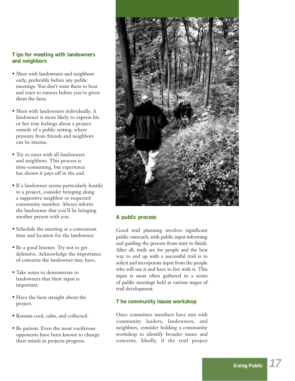# **Tips for meeting with landowners and neighbors**

- Meet with landowners and neighbors early, preferably before any public meetings. You don't want them to hear and react to rumors before you've given them the facts.
- Meet with landowners individually. A landowner is more likely to express his or her true feelings about a project outside of a public setting, where pressure from friends and neighbors can be intense.
- Try to meet with all landowners and neighbors. This process is time-consuming, but experience has shown it pays off in the end.
- If a landowner seems particularly hostile to a project, consider bringing along a supportive neighbor or respected community member. Always inform the landowner that you'll be bringing another person with you.
- Schedule the meeting at a convenient time and location for the landowner.
- Be a good listener. Try not to get defensive. Acknowledge the importance of concerns the landowner may have.
- Take notes to demonstrate to landowners that their input is important.
- Have the facts straight about the project.
- Remain cool, calm, and collected.
- Be patient. Even the most vociferous opponents have been known to change their minds as projects progress.



# **A public process**

Good trail planning involves significant public outreach, with public input informing and guiding the process from start to finish. After all, trails are for people and the best way to end up with a successful trail is to solicit and incorporate input from the people who will use it and have to live with it. This input is most often gathered in a series of public meetings held at various stages of trail development.

# **The community issues workshop**

Once committee members have met with community leaders, landowners, and neighbors, consider holding a community workshop to identify broader issues and concerns. Ideally, if the trail project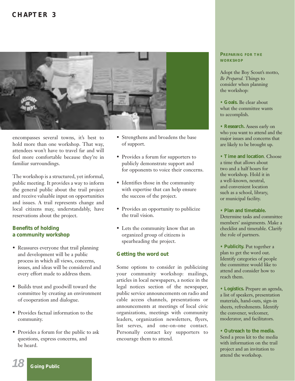# **CHAPTER 3**



encompasses several towns, it's best to hold more than one workshop. That way, attendees won't have to travel far and will feel more comfortable because they're in familiar surroundings.

The workshop is a structured, yet informal, public meeting. It provides a way to inform the general public about the trail project and receive valuable input on opportunities and issues. A trail represents change and local citizens may, understandably, have reservations about the project.

# **Benefits of holding a community workshop**

- Reassures everyone that trail planning and development will be a public process in which all views, concerns, issues, and ideas will be considered and every effort made to address them.
- Builds trust and goodwill toward the committee by creating an environment of cooperation and dialogue.
- Provides factual information to the community.
- Provides a forum for the public to ask questions, express concerns, and be heard.
- Strengthens and broadens the base of support.
- Provides a forum for supporters to publicly demonstrate support and for opponents to voice their concerns.
- Identifies those in the community with expertise that can help ensure the success of the project.
- Provides an opportunity to publicize the trail vision.
- Lets the community know that an organized group of citizens is spearheading the project.

# **Getting the word out**

Some options to consider in publicizing your community workshop: mailings, articles in local newspapers, a notice in the legal notices section of the newspaper, public service announcements on radio and cable access channels, presentations or announcements at meetings of local civic organizations, meetings with community leaders, organization newsletters, flyers, list serves, and one-on-one contact. Personally contact key supporters to encourage them to attend.

# **PREPARING FOR THE WORKSHOP**

Adopt the Boy Scout's motto, *Be Prepared.* Things to consider when planning the workshop:

**• Goals.** Be clear about what the committee wants to accomplish.

- **Research.** Assess early on who you want to attend and the major issues and concerns that are likely to be brought up.
- **Time and location**. Choose a time that allows about two and a half hours for the workshop. Hold it in a well-known, neutral, and convenient location such as a school, library, or municipal facility.
- **Plan and timetable.** Determine tasks and committee members' assignments. Make a checklist and timetable. Clarify the role of partners.
- **Publicity.** Put together a plan to get the word out. Identify categories of people the committee would like to attend and consider how to reach them.
- **Logistics.** Prepare an agenda, a list of speakers, presentation materials, hand-outs, sign-in sheets, refreshments. Identify the convener, welcomer, moderator, and facilitators.
- **Outreach to the media.** Send a press kit to the media with information on the trail project and an invitation to attend the workshop.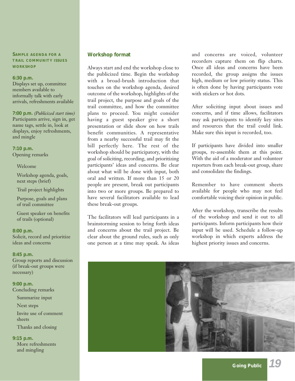**SAMPLE AGENDA FOR A TRAIL COMMUNITY ISSUES WORKSHOP**

### **6:30 p.m.**

Displays set up, committee members available to informally talk with early arrivals, refreshments available

**7:00 p.m.** *(Publicized start time)* Participants arrive, sign in, get name tags, settle in, look at displays, enjoy refreshments, and mingle

**7:10 p.m.** Opening remarks

#### Welcome

Workshop agenda, goals, next steps (brief)

Trail project highlights

Purpose, goals and plans of trail committee

Guest speaker on benefits of trails (optional)

#### **8:00 p.m.**

Solicit, record and prioritize ideas and concerns

#### **8:45 p.m.**

Group reports and discussion (if break-out groups were necessary)

**9:00 p.m.** Concluding remarks

Summarize input

Next steps

Invite use of comment sheets

Thanks and closing

# **9:15 p.m.**

More refreshments and mingling

# **Workshop format**

Always start and end the workshop close to the publicized time. Begin the workshop with a broad-brush introduction that touches on the workshop agenda, desired outcome of the workshop, highlights of the trail project, the purpose and goals of the trail committee, and how the committee plans to proceed. You might consider having a guest speaker give a short presentation or slide show on how trails benefit communities. A representative from a nearby successful trail may fit the bill perfectly here. The rest of the workshop should be participatory, with the goal of soliciting, recording, and prioritizing participants' ideas and concerns. Be clear about what will be done with input, both oral and written. If more than 15 or 20 people are present, break out participants into two or more groups. Be prepared to have several facilitators available to lead these break-out groups.

The facilitators will lead participants in a brainstorming session to bring forth ideas and concerns about the trail project. Be clear about the ground rules, such as only one person at a time may speak. As ideas

and concerns are voiced, volunteer recorders capture them on flip charts. Once all ideas and concerns have been recorded, the group assigns the issues high, medium or low priority status. This is often done by having participants vote with stickers or hot dots.

After soliciting input about issues and concerns, and if time allows, facilitators may ask participants to identify key sites and resources that the trail could link. Make sure this input is recorded, too.

If participants have divided into smaller groups, re-assemble them at this point. With the aid of a moderator and volunteer reporters from each break-out group, share and consolidate the findings.

Remember to have comment sheets available for people who may not feel comfortable voicing their opinion in public.

After the workshop, transcribe the results of the workshop and send it out to all participants. Inform participants how their input will be used. Schedule a follow-up workshop in which experts address the highest priority issues and concerns.

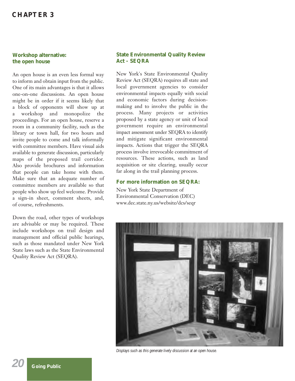# **CHAPTER 3**

# **Workshop alternative: the open house**

An open house is an even less formal way to inform and obtain input from the public. One of its main advantages is that it allows one-on-one discussions. An open house might be in order if it seems likely that a block of opponents will show up at a workshop and monopolize the proceedings. For an open house, reserve a room in a community facility, such as the library or town hall, for two hours and invite people to come and talk informally with committee members. Have visual aids available to generate discussion, particularly maps of the proposed trail corridor. Also provide brochures and information that people can take home with them. Make sure that an adequate number of committee members are available so that people who show up feel welcome. Provide a sign-in sheet, comment sheets, and, of course, refreshments.

Down the road, other types of workshops are advisable or may be required. These include workshops on trail design and management and official public hearings, such as those mandated under New York State laws such as the State Environmental Quality Review Act (SEQRA).

# **State Environmental Quality Review Act - SEQRA**

New York's State Environmental Quality Review Act (SEQRA) requires all state and local government agencies to consider environmental impacts equally with social and economic factors during decisionmaking and to involve the public in the process. Many projects or activities proposed by a state agency or unit of local government require an environmental impact assessment under SEQRA to identify and mitigate significant environmental impacts. Actions that trigger the SEQRA process involve irrevocable commitment of resources. These actions, such as land acquisition or site clearing, usually occur far along in the trail planning process.

# **For more information on SEQRA:**

New York State Department of Environmental Conservation (DEC) www.dec.state.ny.us/website/dcs/seqr



*Displays such as this generate lively discussion at an open house.*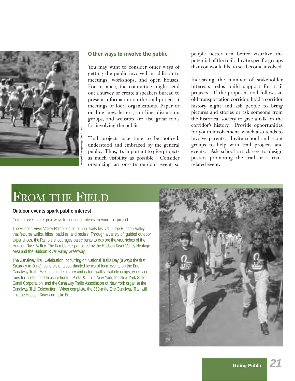

# **Other ways to involve the public**

You may want to consider other ways of getting the public involved in addition to meetings, workshops, and open houses. For instance, the committee might send out a survey or create a speakers bureau to present information on the trail project at meetings of local organizations. Paper or on-line newsletters, on-line discussion groups, and websites are also great tools for involving the public.

Trail projects take time to be noticed, understood and embraced by the general public. Thus, it's important to give projects as much visibility as possible. Consider organizing an on-site outdoor event so

people better can better visualize the potential of the trail. Invite specific groups that you would like to see become involved.

Increasing the number of stakeholder interests helps build support for trail projects. If the proposed trail follows an old transportation corridor, hold a corridor history night and ask people to bring pictures and stories or ask someone from the historical society to give a talk on the corridor's history. Provide opportunities for youth involvement, which also tends to involve parents. Invite school and scout groups to help with trail projects and events. Ask school art classes to design posters promoting the trail or a trailrelated event.

# FROM THE FIELD

## **Outdoor events spark public interest**

Outdoor events are great ways to engender interest in your trail project.

The Hudson River Valley Ramble is an annual trails festival in the Hudson Valley that features walks, hikes, paddles, and pedals. Through a variety of guided outdoor experiences, the Ramble encourages participants to explore the vast riches of the Hudson River Valley. The Ramble is sponsored by the Hudson River Valley Heritage Area and the Hudson River Valley Greenway.

The Canalway Trail Celebration, occurring on National Trails Day (always the first Saturday in June), consists of a coordinated series of local events on the Erie Canalway Trail. Events include history and nature walks, trail clean ups, walks and runs for health, and treasure hunts. Parks & Trails New York, the New York State Canal Corporation and the Canalway Trails Association of New York organize the Canalway Trail Celebration. When complete, the 350-mile Erie Canalway Trail will link the Hudson River and Lake Erie.

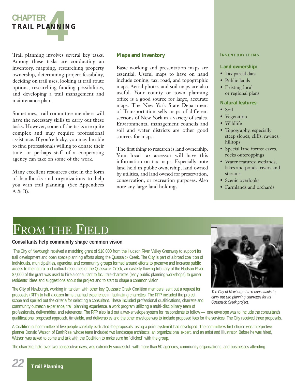

Trail planning involves several key tasks. Among these tasks are conducting an inventory, mapping, researching property ownership, determining project feasibility, deciding on trail uses, looking at trail route options, researching funding possibilities, and developing a trail management and maintenance plan.

Sometimes, trail committee members will have the necessary skills to carry out these tasks. However, some of the tasks are quite complex and may require professional assistance. If you're lucky, you may be able to find professionals willing to donate their time, or perhaps staff of a cooperating agency can take on some of the work.

Many excellent resources exist in the form of handbooks and organizations to help you with trail planning. (See Appendices A & B).

# **Maps and inventory**

Basic working and presentation maps are essential. Useful maps to have on hand include zoning, tax, road, and topographic maps. Aerial photos and soil maps are also useful. Your county or town planning office is a good source for large, accurate maps. The New York State Department of Transportation sells maps of different sections of New York in a variety of scales. Environmental management councils and soil and water districts are other good sources for maps.

The first thing to research is land ownership. Your local tax assessor will have this information on tax maps. Especially note land held in public ownership, land owned by utilities, and land owned for preservation, conservation, or recreation purposes. Also note any large land holdings.

#### **INVENTORY ITEMS**

#### **Land ownership:**

- Tax parcel data
- Public lands
- Existing local or regional plans

#### **Natural features:**

- Soil
- Vegetation
- Wildlife
- Topography, especially steep slopes, cliffs, ravines, hilltops
- Special land forms: caves, rocks outcroppings
- Water features: wetlands, lakes and ponds, rivers and streams
- Scenic overlooks
- Farmlands and orchards

# FROM THE FIELD

## **Consultants help community shape common vision**

The City of Newburgh received a matching grant of \$18,000 from the Hudson River Valley Greenway to support its trail development and open space planning efforts along the Quassaick Creek. The City is part of a broad coalition of individuals, municipalities, agencies, and community groups formed around efforts to preserve and increase public access to the natural and cultural resources of the Quassaick Creek, an easterly flowing tributary of the Hudson River. \$7,000 of the grant was used to hire a consultant to facilitate charrettes (early public planning workshops) to garner residents' ideas and suggestions about the project and to start to shape a common vision.

The City of Newburgh, working in tandem with other key Quassaic Creek Coalition members, sent out a request for proposals (RFP) to half a dozen firms that had experience in facilitating charrettes. The RFP included the project scope and spelled out the criteria for selecting a consultant. These included professional qualifications, charrette and community outreach experience, trail planning experience, a work program utilizing a multi-disciplinary team of



*The City of Newburgh hired consultants to carry out two planning charrettes for its Quassaick Creek project.*

professionals, deliverables, and references. The RFP also laid out a two-envelope system for respondents to follow — one envelope was to include the consultant's qualifications, proposed approach, timetable, and deliverables and the other envelope was to include proposed fees for the services. The City received three proposals.

A Coalition subcommittee of five people carefully evaluated the proposals, using a point system it had developed. The committee's first choice was interpretive planner Donald Watson of EarthRise, whose team included two landscape architects, an organizational expert, and an artist and illustrator. Before he was hired, Watson was asked to come and talk with the Coalition to make sure he "clicked" with the group.

The charrette, held over two consecutive days, was extremely successful, with more than 50 agencies, community organizations, and businesses attending.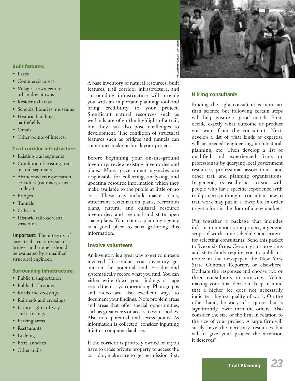## **Built features:**

- Parks
- Commercial areas
- Villages, town centers, urban downtowns
- Residential areas
- Schools, libraries, museums
- Historic buildings, battlefields
- Canals
- Other points of interest

## **Trail corridor infrastructure**

- Existing trail segments
- Condition of existing trails or trail segments
- Abandoned transportation corridors (railroads, canals, trolleys)
- Bridges
- Tunnels
- Culverts
- Historic railroad/canal structures

**Important:** The integrity of large trail structures such as bridges and tunnels should be evaluated by a qualified structural engineer.

## **Surrounding infrastructure:**

- Public transportation
- Public bathrooms
- Roads and crossings
- Railroads and crossings
- Utility rights-of-way and crossings
- Parking areas
- Restaurants
- Lodging
- Boat launches
- Other trails

A base inventory of natural resources, built features, trail corridor infrastructure, and surrounding infrastructure will provide you with an important planning tool and bring credibility to your project. Significant natural resources such as wetlands are often the highlight of a trail, but they can also pose challenges to development. The condition of structural features such as bridges and tunnels can sometimes make or break your project.

Before beginning your on-the-ground inventory, review existing inventories and plans. Many government agencies are responsible for collecting, analyzing, and updating resource information which they make available to the public at little or no cost. These may include master plans, waterfront revitalization plans, recreation plans, natural and cultural resource inventories, and regional and state open space plans. Your county planning agency is a good place to start gathering this information.

# **Involve volunteers**

An inventory is a great way to get volunteers involved. To conduct your inventory, get out on the potential trail corridor and systematically record what you find. You can either write down your findings or tape record them as you move along. Photographs and video are also excellent ways to document your findings. Note problem areas and areas that offer special opportunities, such as great views or access to water bodies. Also note potential trail access points. As information is collected, consider inputting it into a computer database.

If the corridor is privately owned or if you have to cross private property to access the corridor, make sure to get permission first.



# **Hiring consultants**

Finding the right consultant is more art than science but following certain steps will help ensure a good match. First, decide exactly what outcome or product you want from the consultant. Next, develop a list of what kinds of expertise will be needed: engineering, architectural, planning, etc. Then develop a list of qualified and experienced firms or professionals by querying local government resources, professional associations, and other trail and planning organizations. In general, it's usually best to stick with people who have specific experience with trail projects, although a consultant new to trail work may put in a lower bid in order to get a foot in the door of a new market.

Put together a package that includes information about your project, a general scope of work, time schedule, and criteria for selecting consultants. Send this packet to five or six firms. Certain grant programs and state funds require you to publish a notice in the newspaper, the New York State Contract Reporter, or elsewhere. Evaluate the responses and choose two or three consultants to interview. When making your final decision, keep in mind that a higher fee does not necessarily indicate a higher quality of work. On the other hand, be wary of a quote that is significantly lower than the others. Also consider the size of the firm in relation to the size of your project. A large firm will surely have the necessary resources but will it give your project the attention it deserves?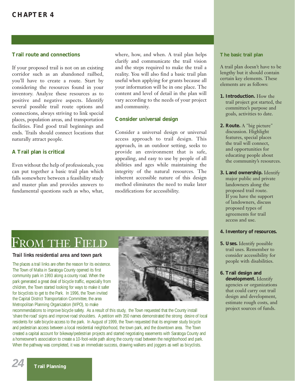# **Trail route and connections**

If your proposed trail is not on an existing corridor such as an abandoned railbed, you'll have to create a route. Start by considering the resources found in your inventory. Analyze these resources as to positive and negative aspects. Identify several possible trail route options and connections, always striving to link special places, population areas, and transportation facilities. Find good trail beginnings and ends. Trails should connect locations that naturally attract people.

# **A Trail plan is critical**

Even without the help of professionals, you can put together a basic trail plan which falls somewhere between a feasibility study and master plan and provides answers to fundamental questions such as who, what, where, how, and when. A trail plan helps clarify and communicate the trail vision and the steps required to make the trail a reality. You will also find a basic trail plan useful when applying for grants because all your information will be in one place. The content and level of detail in the plan will vary according to the needs of your project and community.

# **Consider universal design**

Consider a universal design or universal access approach to trail design. This approach, in an outdoor setting, seeks to provide an environment that is safe, appealing, and easy to use by people of all abilities and ages while maintaining the integrity of the natural resources. The inherent accessible nature of this design method eliminates the need to make later modifications for accessibility.

#### **The basic trail plan**

A trail plan doesn't have to be lengthy but it should contain certain key elements. These elements are as follows:

- **1. Introduction.** How the trail project got started, the committee's purpose and goals, activities to date.
- **2. Route.** A "big picture" discussion. Highlight features, special places the trail will connect, and opportunities for educating people about the community's resources.
- **3. Land ownership.** Identify major public and private landowners along the proposed trail route. If you have the support of landowners, discuss proposed types of agreements for trail access and use.

## **4. Inventory of resources.**

- **5. Uses.** Identify possible trail uses. Remember to consider accessibility for people with disabilities.
- **6. Trail design and development.** Identify agencies or organizations that could carry out trail design and development, estimate rough costs, and project sources of funds.

# FROM THE FIEL

## **Trail links residential area and town park**

The places a trail links are often the reason for its existence. The Town of Malta in Saratoga County opened its first community park in 1993 along a county road. When the park generated a great deal of bicycle traffic, especially from children, the Town started looking for ways to make it safer for bicyclists to get to the Park. In 1996, the Town invited the Capital District Transportation Committee, the area Metropolitan Planning Organization (MPO), to make



recommendations to improve bicycle safety. As a result of this study, the Town requested that the County install 'share the road' signs and improve road shoulders. A petition with 350 names demonstrated the strong desire of local residents for safe bicycle access to the park. In August of 1999, the Town requested that its engineer study bicycle and pedestrian access between a local residential neighborhood, the town park, and the downtown area. The Town created a capital account for bikeway/pedestrian projects and started negotiating easements with Saratoga County and a homeowner's association to create a 10-foot-wide path along the county road between the neighborhood and park. When the pathway was completed, it was an immediate success, drawing walkers and joggers as well as bicyclists.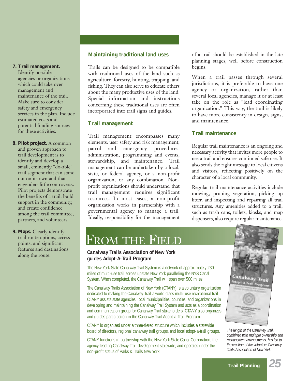# **7. Trail management.**

Identify possible agencies or organizations which could take over management and maintenance of the trail. Make sure to consider safety and emergency services in the plan. Include estimated costs and potential funding sources for these activities.

**8. Pilot project.** A common and proven approach to trail development is to identify and develop a small, eminently "do-able" trail segment that can stand out on its own and that engenders little controversy. Pilot projects demonstrate the benefits of a trail, build support in the community, and create confidence among the trail committee, partners, and volunteers.

**9. Maps.** Clearly identify trail route options, access points, and significant features and destinations along the route.

# **Maintaining traditional land uses**

Trails can be designed to be compatible with traditional uses of the land such as agriculture, forestry, hunting, trapping, and fishing. They can also serve to educate others about the many productive uses of the land. Special information and instructions concerning these traditional uses are often incorporated into trail signs and guides.

# **Trail management**

Trail management encompasses many elements: user safety and risk management, patrol and emergency procedures, administration, programming and events, stewardship, and maintenance. Trail management can be undertaken by a local, state, or federal agency, or a non-profit organization, or any combination. Nonprofit organizations should understand that trail management requires significant resources. In most cases, a non-profit organization works in partnership with a governmental agency to manage a trail. Ideally, responsibility for the management of a trail should be established in the late planning stages, well before construction begins.

When a trail passes through several jurisdictions, it is preferable to have one agency or organization, rather than several local agencies, manage it or at least take on the role as "lead coordinating organization." This way, the trail is likely to have more consistency in design, signs, and maintenance.

# **Trail maintenance**

Regular trail maintenance is an ongoing and necessary activity that invites more people to use a trail and ensures continued safe use. It also sends the right message to local citizens and visitors, reflecting positively on the character of a local community.

Regular trail maintenance activities include mowing, pruning vegetation, picking up litter, and inspecting and repairing all trail structures. Any amenities added to a trail, such as trash cans, toilets, kiosks, and map dispensers, also require regular maintenance.

# FROM THE F

# **Canalway Trails Association of New York guides Adopt-A-Trail Program**

The New York State Canalway Trail System is a network of approximately 230 miles of multi-use trail across upstate New York paralleling the NYS Canal System. When completed, the Canalway Trail will span over 500 miles.

The Canalway Trails Association of New York (CTANY) is a voluntary organization dedicated to making the Canalway Trail a world class multi-use recreational trail. CTANY assists state agencies, local municipalities, counties, and organizations in developing and maintaining the Canalway Trail System and acts as a coordination and communication group for Canalway Trail stakeholders. CTANY also organizes and guides participation in the Canalway Trail Adopt-a-Trail Program.

CTANY is organized under a three-tiered structure which includes a statewide board of directors, regional canalway trail groups, and local adopt-a-trail groups.

CTANY functions in partnership with the New York State Canal Corporation, the agency leading Canalway Trail development statewide, and operates under the non-profit status of Parks & Trails New York.



*The length of the Canalway Trail, combined with multiple ownership and management arrangements, has led to the creation of the volunteer Canalway Trails Association of New York.*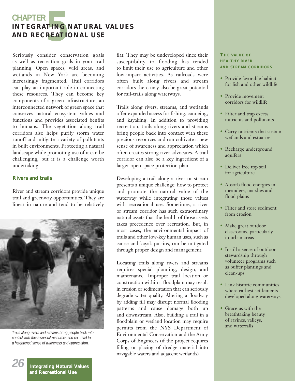# **5 CHAPTER INTEGRATING NATURAL VALUES AND RECREATIONAL USE**

Seriously consider conservation goals as well as recreation goals in your trail planning. Open spaces, wild areas, and wetlands in New York are becoming increasingly fragmented. Trail corridors can play an important role in connecting these resources. They can become key components of a green infrastructure, an interconnected network of green space that conserves natural ecosystem values and functions and provides associated benfits to humans. The vegetation along trail corridors also helps purify storm water runoff and mitigate a variety of pollutants in built environments. Protecting a natural landscape while promoting use of it can be challenging, but it is a challenge worth undertaking.

# **Rivers and trails**

River and stream corridors provide unique trail and greenway opportunities. They are linear in nature and tend to be relatively



*Trails along rivers and streams bring people back into contact with these special resources and can lead to a heightened sense of awareness and appreciation.*

**Integrating Natural Values and Recreational Use**

*26*

flat. They may be undeveloped since their susceptibility to flooding has tended to limit their use to agriculture and other low-impact activities. As railroads were often built along rivers and stream corridors there may also be great potential for rail-trails along waterways.

Trails along rivers, streams, and wetlands offer expanded access for fishing, canoeing, and kayaking. In addition to providing recreation, trails along rivers and streams bring people back into contact with these precious resources and can cultivate a new sense of awareness and appreciation which often creates strong river advocates. A trail corridor can also be a key ingredient of a larger open space protection plan.

Developing a trail along a river or stream presents a unique challenge: how to protect and promote the natural value of the waterway while integrating those values with recreational use. Sometimes, a river or stream corridor has such extraordinary natural assets that the health of those assets takes precedence over recreation. But, in most cases, the environmental impact of trails and other low-key human uses, such as canoe and kayak put-ins, can be mitigated through proper design and management.

Locating trails along rivers and streams requires special planning, design, and maintenance. Improper trail location or construction within a floodplain may result in erosion or sedimentation that can seriously degrade water quality. Altering a floodway by adding fill may disrupt normal flooding patterns and cause damage both up and downstream. Also, building a trail in a floodplain or wetland location may require permits from the NYS Department of Environmental Conservation and the Army Corps of Engineers (if the project requires filling or placing of dredge material into navigable waters and adjacent wetlands).

# **THE VALUE OF HEALTHY RIVER AND STREAM CORRIDORS**

- Provide favorable habitat for fish and other wildlife
- Provide movement corridors for wildlife
- Filter and trap excess nutrients and pollutants
- Carry nutrients that sustain wetlands and estuaries
- Recharge underground aquifers
- Deliver free top soil for agriculture
- Absorb flood energies in meanders, marshes and flood plains
- Filter and store sediment from erosion
- Make great outdoor classrooms, particularly in urban areas
- Instill a sense of outdoor stewardship through volunteer programs such as buffer plantings and clean-ups
- Link historic communities where earliest settlements developed along waterways
- Grace us with the breathtaking beauty of ravines, valleys, and waterfalls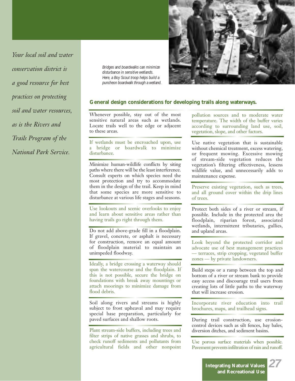*Your local soil and water conservation district is a good resource for best practices on protecting soil and water resources, as is the Rivers and Trails Program of the National Park Service.*

*Bridges and boardwalks can minimize disturbance in sensitive wetlands. Here, a Boy Scout troop helps build a puncheon boardwalk through a wetland.*



#### **General design considerations for developing trails along waterways.**

Whenever possible, stay out of the most sensitive natural areas such as wetlands. Locate trails well to the edge or adjacent to these areas.

If wetlands must be encroached upon, use a bridge or boardwalk to minimize disturbance.

Minimize human-wildlife conflicts by siting paths where there will be the least interference. Consult experts on which species need the most protection and try to accommodate them in the design of the trail. Keep in mind that some species are more sensitive to disturbance at various life stages and seasons.

Use lookouts and scenic overlooks to enjoy and learn about sensitive areas rather than having trails go right through them.

Do not add above-grade fill in a floodplain. If gravel, concrete, or asphalt is necessary for construction, remove an equal amount of floodplain material to maintain an unimpeded floodway.

Ideally, a bridge crossing a waterway should span the watercourse and the floodplain. If this is not possible, secure the bridge on foundations with break away mountings or attach moorings to minimize damage from flood debris.

Soil along rivers and streams is highly subject to frost upheaval and may require special base preparation, particularly for paved surfaces and shallow roots.

Plant stream-side buffers, including trees and filter strips of native grasses and shrubs, to check runoff sediments and pollutants from agricultural fields and other nonpoint

pollution sources and to moderate water temperature. The width of the buffer varies according to surrounding land use, soil, vegetation, slope, and other factors.

Use native vegetation that is sustainable without chemical treatment, excess watering, or frequent mowing. Excessive mowing of stream-side vegetation reduces the vegetation's filtering effectiveness, lessens wildlife value, and unnecessarily adds to maintenance expense.

Preserve existing vegetation, such as trees, and all ground cover within the drip lines of trees.

Protect both sides of a river or stream, if possible. Include in the protected area the floodplain, riparian forest, associated wetlands, intermittent tributaries, gullies, and upland areas.

Look beyond the protected corridor and advocate use of best management practices — terraces, strip cropping, vegetated buffer zones — by private landowners.

Build steps or a ramp between the top and bottom of a river or stream bank to provide easy access and discourage trail users from creating lots of little paths to the waterway that will increase erosion.

Incorporate river education into trail brochures, maps, and trailhead signs.

During trail construction, use erosioncontrol devices such as silt fences, hay bales, diversion ditches, and sediment basins.

Use porous surface materials when possible. Pavement prevents infiltration of rain and runoff.

> **Integrating Natural Values and Recreational Use**

*27*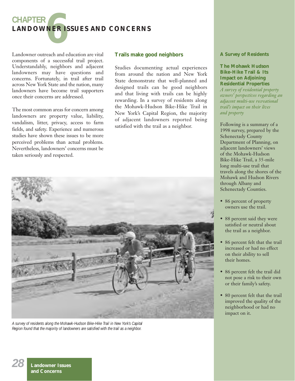

Landowner outreach and education are vital components of a successful trail project. Understandably, neighbors and adjacent landowners may have questions and concerns. Fortunately, in trail after trail across New York State and the nation, many landowners have become trail supporters once their concerns are addressed.

The most common areas for concern among landowners are property value, liability, vandalism, litter, privacy, access to farm fields, and safety. Experience and numerous studies have shown these issues to be more perceived problems than actual problems. Nevertheless, landowners' concerns must be taken seriously and respected.

# **Trails make good neighbors**

Studies documenting actual experiences from around the nation and New York State demonstrate that well-planned and designed trails can be good neighbors and that living with trails can be highly rewarding. In a survey of residents along the Mohawk-Hudson Bike-Hike Trail in New York's Capital Region, the majority of adjacent landowners reported being satisfied with the trail as a neighbor.



*A survey of residents along the Mohawk-Hudson Bike-Hike Trail in New York's Capital Region found that the majority of landowners are satisfied with the trail as a neighbor.*

#### **A Survey of Residents**

**The Mohawk Hudson Bike-Hike Trail & Its Impact on Adjoining Residential Properties** *A survey of residential property owners' perspectives regarding an adjacent multi-use recreational trail's impact on their lives and property*

Following is a summary of a 1998 survey, prepared by the Schenectady County Department of Planning, on adjacent landowners' views of the Mohawk-Hudson Bike-Hike Trail, a 35-mile long multi-use trail that travels along the shores of the Mohawk and Hudson Rivers through Albany and Schenectady Counties.

- 86 percent of property owners use the trail.
- 88 percent said they were satisfied or neutral about the trail as a neighbor.
- 86 percent felt that the trail increased or had no effect on their ability to sell their homes.
- 86 percent felt the trail did not pose a risk to their own or their family's safety.
- 80 percent felt that the trail improved the quality of the neighborhood or had no impact on it.

**Landowner Issues and Concerns**

*28*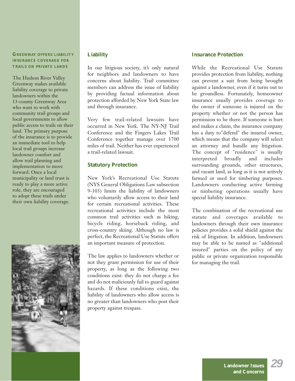# **GREENWAY OFFERS LIABILITY INSURANCE COVERAGE FOR TRAILS ON PRIVATE LANDS**

The Hudson River Valley Greenway makes available liability coverage to private landowners within the 13-county Greenway Area who want to work with community trail groups and local governments to allow public access to trails on their land. The primary purpose of the insurance is to provide an immediate tool to help local trail groups increase landowner comfort and allow trail planning and implementation to move forward. Once a local municipality or land trust is ready to play a more active role, they are encouraged to adopt these trails under their own liability coverage.



# **Liability**

In our litigious society, it's only natural for neighbors and landowners to have concerns about liability. Trail committee members can address the issue of liability by providing factual information about protection afforded by New York State law and through insurance.

Very few trail-related lawsuits have occurred in New York. The NY-NJ Trail Conference and the Fingers Lakes Trail Conference together manage over 1700 miles of trail. Neither has ever experienced a trail-related lawsuit.

# **Statutory Protection**

New York's Recreational Use Statute (NYS General Obligations Law subsection 9-103) limits the liability of landowners who voluntarily allow access to their land for certain recreational activities. These recreational activities include the most common trail activities such as hiking, bicycle riding, horseback riding, and cross-country skiing. Although no law is perfect, the Recreational Use Statute offers an important measure of protection.

The law applies to landowners whether or not they grant permission for use of their property, as long as the following two conditions exist: they do not charge a fee and do not maliciously fail to guard against hazards. If these conditions exist, the liability of landowners who allow access is no greater than landowners who post their property against trespass.

# **Insurance Protection**

While the Recreational Use Statute provides protection from liability, nothing can prevent a suit from being brought against a landowner, even if it turns out to be groundless. Fortunately, homeowner insurance usually provides coverage to the owner if someone is injured on the property whether or not the person has permission to be there. If someone is hurt and makes a claim, the insurance company has a duty to"defend" the insured owner, which means that the company will select an attorney and handle any litigation. The concept of "residence" is usually interpreted broadly and includes surrounding grounds, other structures, and vacant land, as long as it is not actively farmed or used for timbering purposes. Landowners conducting active farming or timbering operations usually have special liability insurance.

The combination of the recreational use statute and coverages available to landowners through their own insurance policies provides a solid shield against the risk of litigation. In addition, landowners may be able to be named as "additional insured" parties on the policy of any public or private organization responsible for managing the trail.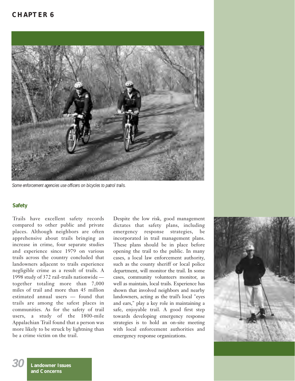# **CHAPTER 6**



*Some enforcement agencies use officers on bicycles to patrol trails.*

## **Safety**

Trails have excellent safety records compared to other public and private places. Although neighbors are often apprehensive about trails bringing an increase in crime, four separate studies and experience since 1979 on various trails across the country concluded that landowners adjacent to trails experience negligible crime as a result of trails. A 1998 study of 372 rail-trails nationwide together totaling more than 7,000 miles of trail and more than 45 million estimated annual users — found that trails are among the safest places in communities. As for the safety of trail users, a study of the 1800-mile Appalachian Trail found that a person was more likely to be struck by lightning than be a crime victim on the trail.

Despite the low risk, good management dictates that safety plans, including emergency response strategies, be incorporated in trail management plans. These plans should be in place before opening the trail to the public. In many cases, a local law enforcement authority, such as the county sheriff or local police department, will monitor the trail. In some cases, community volunteers monitor, as well as maintain, local trails. Experience has shown that involved neighbors and nearby landowners, acting as the trail's local "eyes and ears," play a key role in maintaining a safe, enjoyable trail. A good first step towards developing emergency response strategies is to hold an on-site meeting with local enforcement authorities and emergency response organizations.



*30*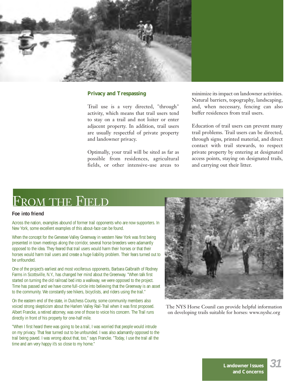

# **Privacy and Trespassing**

Trail use is a very directed, "through" activity, which means that trail users tend to stay on a trail and not loiter or enter adjacent property. In addition, trail users are usually respectful of private property and landowner privacy.

Optimally, your trail will be sited as far as possible from residences, agricultural fields, or other intensive-use areas to

minimize its impact on landowner activities. Natural barriers, topography, landscaping, and, when necessary, fencing can also buffer residences from trail users.

Education of trail users can prevent many trail problems. Trail users can be directed, through signs, printed material, and direct contact with trail stewards, to respect private property by entering at designated access points, staying on designated trails, and carrying out their litter.

# FROM THE FIELD

#### **Foe into friend**

Across the nation, examples abound of former trail opponents who are now supporters. In New York, some excellent examples of this about-face can be found.

When the concept for the Genesee Valley Greenway in western New York was first being presented in town meetings along the corridor, several horse breeders were adamantly opposed to the idea. They feared that trail users would harm their horses or that their horses would harm trail users and create a huge liability problem. Their fears turned out to be unfounded.

One of the project's earliest and most vociferous opponents, Barbara Galbraith of Rodney Farms in Scottsville, N.Y., has changed her mind about the Greenway. "When talk first started on turning the old railroad bed into a walkway, we were opposed to the project. Time has passed and we have come full-circle into believing that the Greenway is an asset to the community. We constantly see hikers, bicyclists, and riders using the trail."

On the eastern end of the state, in Dutchess County, some community members also voiced strong skepticism about the Harlem Valley Rail-Trail when it was first proposed. Albert Francke, a retired attorney, was one of those to voice his concern. The Trail runs directly in front of his property for one-half mile.

"When I first heard there was going to be a trail, I was worried that people would intrude on my privacy. That fear turned out to be unfounded. I was also adamantly opposed to the trail being paved. I was wrong about that, too," says Francke. "Today, I use the trail all the time and am very happy it's so close to my home."



The NYS Horse Counil can provide helpful information on developing trails suitable for horses: www.nyshc.org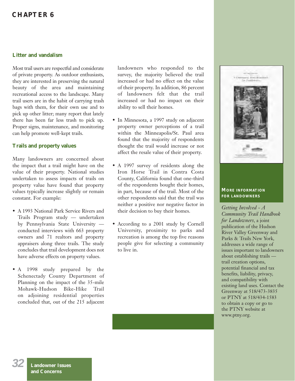# **CHAPTER 6**

# **Litter and vandalism**

Most trail users are respectful and considerate of private property. As outdoor enthusiasts, they are interested in preserving the natural beauty of the area and maintaining recreational access to the landscape. Many trail users are in the habit of carrying trash bags with them, for their own use and to pick up other litter; many report that lately there has been far less trash to pick up. Proper signs, maintenance, and monitoring can help promote well-kept trails.

# **Trails and property values**

Many landowners are concerned about the impact that a trail might have on the value of their property. National studies undertaken to assess impacts of trails on property value have found that property values typically increase slightly or remain constant. For example:

- A 1993 National Park Service Rivers and Trails Program study — undertaken by Pennsylvania State University conducted interviews with 663 property owners and 71 realtors and property appraisers along three trails. The study concludes that trail development does not have adverse effects on property values.
- A 1998 study prepared by the Schenectady County Department of Planning on the impact of the 35-mile Mohawk-Hudson Bike-Hike Trail on adjoining residential properties concluded that, out of the 215 adjacent

landowners who responded to the survey, the majority believed the trail increased or had no effect on the value of their property. In addition, 86 percent of landowners felt that the trail increased or had no impact on their ability to sell their homes.

- In Minnesota, a 1997 study on adjacent property owner perceptions of a trail within the Minneapolis/St. Paul area found that the majority of respondents thought the trail would increase or not affect the resale value of their property.
- A 1997 survey of residents along the Iron Horse Trail in Contra Costa County, California found that one-third of the respondents bought their homes, in part, because of the trail. Most of the other respondents said that the trail was neither a positive nor negative factor in their decision to buy their homes.
- According to a 2001 study by Cornell University, proximity to parks and recreation is among the top five reasons people give for selecting a community to live in.



#### **MORE INFORMATION FOR LANDOWNERS**

*Getting Involved - A Community Trail Handbook for Landowners*, a joint publication of the Hudson River Valley Greenway and Parks & Trails New York, addresses a wide range of issues important to landowners about establishing trails trail creation options, potential financial and tax benefits, liability, privacy, and compatibility with existing land uses. Contact the Greenway at 518/473-3835 or PTNY at 518/434-1583 to obtain a copy or go to the PTNY website at www.ptny.org.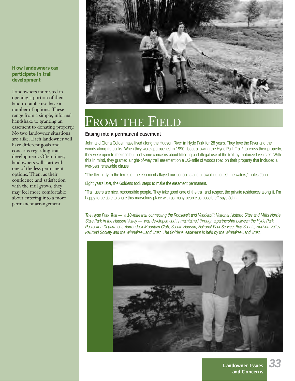**How landowners can participate in trail development**

Landowners interested in opening a portion of their land to public use have a number of options. These range from a simple, informal handshake to granting an easement to donating property. No two landowner situations are alike. Each landowner will have different goals and concerns regarding trail development. Often times, landowners will start with one of the less permanent options. Then, as their confidence and satisfaction with the trail grows, they may feel more comfortable about entering into a more permanent arrangement.



# FROM THE FIELD

# **Easing into a permanent easement**

John and Gloria Golden have lived along the Hudson River in Hyde Park for 28 years. They love the River and the woods along its banks. When they were approached in 1990 about allowing the Hyde Park Trail\* to cross their property, they were open to the idea but had some concerns about littering and illegal use of the trail by motorized vehicles. With this in mind, they granted a right-of-way trail easement on a 1/2-mile of woods road on their property that included a two-year renewable clause.

"The flexibility in the terms of the easement allayed our concerns and allowed us to test the waters," notes John.

Eight years later, the Goldens took steps to make the easement permanent.

"Trail users are nice, responsible people. They take good care of the trail and respect the private residences along it. I'm happy to be able to share this marvelous place with as many people as possible," says John.

*The Hyde Park Trail — a 10-mile trail connecting the Roosevelt and Vanderbilt National Historic Sites and Mills Norrie State Park in the Hudson Valley — was developed and is maintained through a partnership between the Hyde Park Recreation Department, Adirondack Mountain Club, Scenic Hudson, National Park Service, Boy Scouts, Hudson Valley Railroad Society and the Winnakee Land Trust. The Goldens' easement is held by the Winnakee Land Trust.*

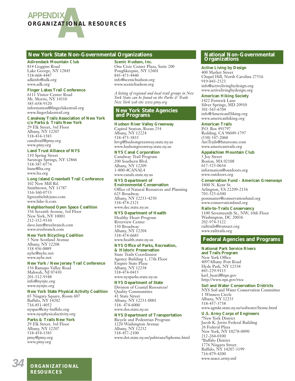

#### **New York State Non-Governmental Organizations <b>National Non-Governmental**

#### **Adirondack Mountain Club** 814 Goggins Road Lake George, NY 12845 518-668-4447 adkinfo@adk.org www.adk.org

#### **Finger Lakes Trail Conference**

6111 Visitor Center Road Mt. Morris, NY 14510 585-658-9320 information@fingerlakestrail.org www.fingerlakestrail.org

# **Canalway Trails Association of New York**

**c/o Parks & Trails New York** 29 Elk Street, 3rd Floor Albany, NY 12207 518-434-1583 canaltrail@ptny.org www.ptny.org

#### **Land Trust Alliance of NYS**

110 Spring Street Saratoga Springs, NY 12866 518-587-0774 ltane@lta.org www.lta.org

#### **Long Island Greenbelt Trail Conference**

102 New Mill Rd. Smithtown, NY 11787 516-360-0753 ligreenbelt&juno.com www.hike-li.com

#### **Neighborhood Open Space Coalition**

356 Seventh Avenue, 3rd Floor New York, NY 10001 212-352-9330 dave.lutz@treebranch.com www.treebranch.com

#### **New York Bicycling Coalition**

5 New Scotland Avenue Albany, NY 12208 518 436-0889 nybc@nybc.net www.nybc.net

#### **New York / New Jersey Trail Conference**

156 Ramapo Valley Road Mahwah, NJ 07430 201-512-9348 info@nynjtc.org www.nynjtc.org

#### **New York State Physical Activity Coalition**

65 Niagara Square, Room 607 Buffalo, NY 14202 716-851-4052 nyspac@city-buffalo.org www.nysphysicalactivity.org

#### **Parks & Trails New York**

29 Elk Street, 3rd Floor Albany, NY 12207 518-434-1583 ptny@ptny.org www.ptny.org

# **Scenic Hudson, Inc.**

One Civic Center Plaza, Suite 200 Poughkeepsie, NY 12601 845-473-4440 info@scenichudson.org www.scenichudson.org

*A listing of regional and local trail groups in New York State can be found on the Parks & Trails New York web site www.ptny.org*

#### **New York State Agencies and Programs**

**Hudson River Valley Greenway**

Capitol Station, Room 254 Albany, NY 12224 518-473-3835 hrvg@hudsongreenway.state.ny.us www.hudsongreenway.state.ny.us

#### **NYS Canal Corporation**

Canalway Trail Program 200 Southern Blvd. Albany, NY 12209 1-800-4CANAL4 www.canals.state.ny.us

#### **NYS Department of**

**Environmental Conservation** Office of Natural Resources and Planning 625 Broadway Albany, NY 12233-4250 518-474-2121 www.dec.state.ny.us

#### **NYS Department of Health**

Healthy Heart Program Riverview Center 150 Broadway Albany, NY 12204 518-474-6683 www.health.state.ny.us

### **NYS Office of Parks, Recreation,**

**& Historic Preservation** State Trails Coordinator Agency Building 1, 17th Floor Empire State Plaza Albany, NY 12238 518-474-0415 www.nysparks.state.ny.us

#### **NYS Department of State**

Division of Coastal Resources/ Quality Communities 41 State Street Albany, NY 12231-0001 518- 474-6000 www.dos.state.ny.us

#### **NYS Department of Transportation**

Bicycle and Pedestrian Program 1220 Washington Avenue Albany, NY 12232 518-457-2100 www.dot.state.ny.us/pubtrans/bphome.html

# **Organizations**

#### **Active Living by Design**

400 Market Street Chapel Hill, North Carolina 27516 919-843-2523 info@activelivingbydesign.org www.activelivingbydesign.org

#### **American Hiking Society**

1422 Fenwick Lane Silver Springs, MD 20910 301-565-6704 info@AmericanHiking.org www.americanhiking.org

#### **American Trails**

P.O. Box 491797 Redding, CA 96049-1797  $(530)$   $547 - 2060$ AmTrails@futureone.com www.americantrails.org

#### **Appalachian Mountain Club**

5 Joy Street Boston, MA 02108 617-523-0636 information@outdoors.org www.outdoors.org

#### **Conservation Fund - American Greenways**

1800 N. Kent St. Arlington, VA 22209-2156 703-525-6300 postmaster@conservationfund.org www.conservationfund.org

#### **Rails-to-Trails Conservancy**

1100 Seventeenth St., NW, 10th Floor Washington, DC 20036 202-974-5122 railtrails@transact.org www.railtrails.org

## **Federal Agencies and Programs**

#### **National Park Service Rivers**

**and Trails Program** New York Office 4097Albany Post Road Hyde Park, NY 12538 845-229-9115 karl\_beard@nps.gov http://www.nps.gov/rtca

#### **Soil and Water Conservation Districts**

NYS Soil and Water Conservation Committee 1 Winners Circle Albany, NY 12235 518-457-3738 www.agmkt.state.ny.us/soilwater/home.html

#### **U.S. Army Corps of Engineers**

\*New York District Jacob K. Javitz Federal Building 26 Federal Plaza New York, NY 10278-0090 212-264-0100 \*Buffalo District 1776 Niagara Street Buffalo, NY 14207-3199 716-879-4200 www.usace.army.mil

*34* **ORGANIZATIONAL RESOURCES**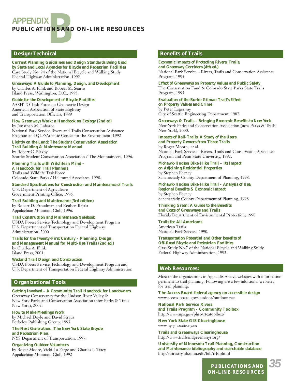# **B APPENDIX PUBLICATIONS AND ON-LINE RESOURCES**

# **Design/Technical Benefits of Trails**

*Current Planning Guidelines and Design Standards Being Used by State and Local Agencies for Bicycle and Pedestrian Facilities* Case Study No. 24 of the National Bicycle and Walking Study Federal Highway Administration, 1992.

*Greenways: A Guide to Planning, Design, and Development* by Charles A. Flink and Robert M. Searns Island Press, Washington, D.C., 1993.

*Guide for the Development of Bicycle Facilities* AASHTO Task Force on Geometric Design American Association of State Highway and Transportation Officials, 1999

*How Greenways Work: a Handbook on Ecology (2nd ed)* by Jonathan M. Labaree National Park Service Rivers and Trails Conservation Assistance Program and QLF/Atlantic Center for the Environment, 1992

*Lightly on the Land: The Student Conservation Association Trail Building & Maintenance Manual* by Robert C. Birkby Seattle: Student Conservation Association / The Mountaineers, 1996.

*Planning Trails with Wildlife in Mind – A Handbook for Trail Planners*

Trails and Wildlife Task Force Colorado State Parks / Hellmund Associates, 1998.

*Standard Specifications for Construction and Maintenance of Trails* U.S. Department of Agriculture Government Printing Office, 1996.

*Trail Building and Maintenance (3rd edition)* by Robert D. Proudman and Reuben Rajala Appalachian Mountain Club, 1996.

#### *Trail Construction and Maintenance Notebook*

USDA Forest Service Technology and Development Program U.S. Department of Transportation Federal Highway Administration, 2000

*Trails for the Twenty-First Century – Planning, Design, and Management Manual for Multi-Use Trails (2nd ed.)*

by Charles A. Flink Island Press, 2001.

#### *Wetland Trail Design and Construction*

USDA Forest Service Technology and Development Program and U.S. Department of Transportation Federal Highway Administration

# **Organizational Tools**

*Getting Involved – A Community Trail Handbook for Landowners* Greenway Conservancy for the Hudson River Valley & New York Parks and Conservation Association (now Parks & Trails New York), 2002.

#### *How to Make Meetings Work* by Michael Doyle and David Straus

Berkeley Publishing Group, 1993

*The Next Generation...The New York State Bicycle and Pedestrian Plan.*

NYS Department of Transportation, 1997.

*Organizing Outdoor Volunteers* by Roger Moore, Vicki La Farge and Charles L Tracy Appalachian Mountain Club, 1992

*Economic Impacts of Protecting Rivers, Trails, and Greenway Corridors (4th ed.)* National Park Service – Rivers, Trails and Conservation Assistance Program, 1995.

*Effect of Greenways on Property Values and Public Safety* The Conservation Fund & Colorado State Parks State Trails Program, 1995.

*Evaluation of the Burke-Gilman Trail's Effect on Property Values and Crime* by Peter Lagerway City of Seattle Engineering Department, 1987.

*Greenways & Trails – Bringing Economic Benefits to New York* New York Parks and Conservation Association (now Parks & Trails New York), 2000.

*Impacts of Rail-Trails: A Study of the Users and Property Owners from Three Trails* by Roger Moore., et al National Park Service – Rivers, Trails and Conservation Assistance Program and Penn State University, 1992.

#### *Mohawk-Hudson Bike-Hike Trail – Its Impact on Adjoining Residential Properties* by Stephen Feeney Schenectady County Department of Planning, 1998.

*Mohawk-Hudson Bike-Hike Trail - Analysis of Use, Regional Benefits & Economic Impact* by Stephen Feeney

Schenectady County Department of Planning, 1998.

*Thinking Green: A Guide to the Benefits and Costs of Greenways and Trails* Florida Department of Environmental Protection, 1998

*Trails for All Americans* American Trails National Park Service, 1990.

*Transportation Potential and Other benefits of Off-Road Bicycle and Pedestrian Facilities* Case Study No.7 of the National Bicycle and Walking Study Federal Highway Administration, 1992.

# **Web Resources:**

Most of the organizations in Appendix A have websites with information pertinent to trail planning. Following are a few additional websites for trail planning:

**The Access Board-federal agency on accessible design** www.access-board.gov/outdoor/outdoor-rec

**National Park Service Rivers and Trails Program - Community Toolbox** http://www.nps.gov/phso/rtcatoolbox/

**New York State GIS Clearinghouse** www.nysgis.state.ny.us

**Trails and Greenways Clearinghouse** http://www.trailsandgreenways.org/

**University of Minnesota Trail Planning, Construction and Maintenance bibliography and searchable database** http://forestry.lib.umn.edu/bib/trls.phtml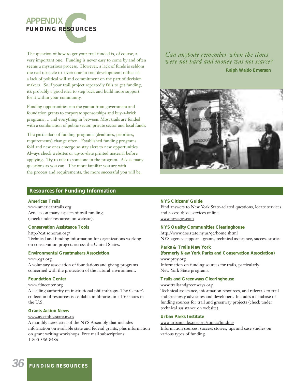

The question of how to get your trail funded is, of course, a very important one. Funding is never easy to come by and often seems a mysterious process. However, a lack of funds is seldom the real obstacle to overcome in trail development; rather it's a lack of political will and commitment on the part of decision makers. So if your trail project repeatedly fails to get funding, it's probably a good idea to step back and build more support for it within your community.

Funding opportunities run the gamut from government and foundation grants to corporate sponsorships and buy-a-brick programs … and everything in between. Most trails are funded with a combination of public sector, private sector and local funds.

The particulars of funding programs (deadlines, priorities, requirements) change often. Established funding programs fold and new ones emerge so stay alert to new opportunities. Always check websites or up-to-date printed material before applying. Try to talk to someone in the program. Ask as many questions as you can. The more familiar you are with the process and requirements, the more successful you will be.

# *Can anybody remember when the times were not hard and money was not scarce?*

**Ralph Waldo Emerson**



# **Resources for Funding Information**

#### **American Trails**

www.americantrails.org Articles on many aspects of trail funding (check under resources on website).

#### **Conservation Assistance Tools**

http://cat.sonoran.org/ Technical and funding information for organizations working on conservation projects across the United States.

#### **Environmental Grantmakers Association**

#### www.ega.org

A voluntary association of foundations and giving programs concerned with the protection of the natural environment.

#### **Foundation Center**

#### www.fdncenter.org

A leading authority on institutional philanthropy. The Center's collection of resources is available in libraries in all 50 states in the U.S.

#### **Grants Action News**

#### www.assembly.state.ny.us

A monthly newsletter of the NYS Assembly that includes information on available state and federal grants, plus information on grant writing workshops. Free mail subscriptions: 1-800-356-8486.

#### **NYS Citizens' Guide**

Find answers to New York State-related questions, locate services and access those services online. www.nysegov.com

#### **NYS Quality Communities Clearinghouse**

http://www.dos.state.ny.us/qc/home.shtml NYS agency support - grants, technical assistance, success stories

## **Parks & Trails New York (formerly New York Parks and Conservation Association)**

#### www.ptny.org Information on funding sources for trails, particularly

New York State programs.

#### **Trails and Greenways Clearinghouse**

#### www.trailsandgreenways.org

Technical assistance, information resources, and referrals to trail and greenway advocates and developers. Includes a database of funding sources for trail and greenway projects (check under technical assistance on website).

#### **Urban Parks Institute**

www.urbanparks.pps.org/topics/funding Information sources, success stories, tips and case studies on various types of funding.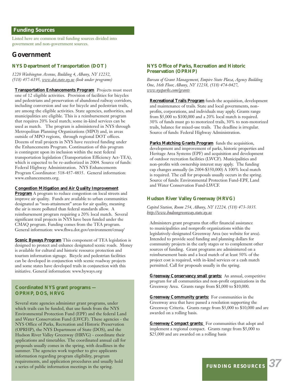# **Funding Sources**

Listed here are common trail funding sources divided into government and non-government sources.

# **Government**

# **NYS Department of Transportation (DOT)**

*1220 Washington Avenue, Building 4, Albany, NY 12232, (518) 457-6195, www.dot.state.ny.us (look under programs)*

**Transportation Enhancements Program** Projects must meet one of 12 eligible activities. Provision of facilities for bicycles and pedestrians and preservation of abandoned railway corridors, including conversion and use for bicycle and pedestrian trails, are among the eligible activities. State agencies, authorities, and municipalities are eligible. This is a reimbursement program that requires 20% local match; some in-kind services can be used as match. The program is administered in NYS through Metropolitan Planning Organizations (MPO) and, in areas outside of MPO regions, through regional DOT offices. Dozens of trail projects in NYS have received funding under the Enhancements Program. Continuation of this program is contingent upon its inclusion within the next federal transportation legislation (Transportation Efficiency Act-TEA), which is expected to be re-authorized in 2004. Source of funds: Federal Highway Administration. NYS Enhancements Program Coordinator: 518-457-4835. General information: www.enhancements.org.

#### **Congestion Mitigation and Air Quality Improvement**

**Program** A program to reduce congestion on local streets and improve air quality. Funds are available to urban communities designated as "non-attainment" areas for air quality, meaning the air is more polluted than federal standards allow. A reimbursement program requiring a 20% local match. Several significant trail projects in NYS have been funded under the CMAQ program. Funding comes from the TEA program. General information: www.fhwa.dot.gov/environment/cmaq/

**Scenic Byways Program** This component of TEA legislation is designed to protect and enhance designated scenic roads. Money is available for cultural and historic resource protection and tourism information signage. Bicycle and pedestrian facilities can be developed in conjunction with scenic roadway projects and some states have developed trails in conjunction with this initiative. General information: www.byways.org

#### **Coordinated NYS grant programs — OPRHP, DOS, HRVG**

Several state agencies administer grant programs, under which trails can be funded, that use funds from the NYS Environmental Protection Fund (EPF) and the federal Land and Water Conservation Fund (LWCF). These agencies - the NYS Office of Parks, Recreation and Historic Preservation (OPRHP), the NYS Department of State (DOS), and the Hudson River Valley Greenway (HRVG) - coordinate their applications and timetables. The coordinated annual call for proposals usually comes in the spring, with deadlines in the summer. The agencies work together to give applicants information regarding program eligibility, program requirements, and application procedures and usually hold a series of public information meetings in the spring.

#### **NYS Office of Parks, Recreation and Historic Preservation (OPRHP)**

*Bureau of Grant Management, Empire State Plaza, Agency Building One, 16th Floor, Albany, NY 12238, (518) 474-0427, www.nysparks.com/grants*

**Recreational Trails Program** funds the acquisition, development and maintenance of trails. State and local governments, nonprofits, corporations, and individuals may apply. Grants range from \$5,000 to \$100,000 and a 20% local match is required. 30% of funds must go to motorized trails, 30% to non-motorized trails, balance for mixed-use trails. The deadline is irregular. Source of funds: Federal Highway Administration.

**Parks Matching Grants Program** funds the acquisition, development and improvement of parks, historic properties and Heritage Area Systems (EPF) and acquisition and development of outdoor recreation facilities (LWCF). Municipalities and non-profits with ownership interest may apply. The funding cap changes annually (in 2004-\$350,000) A 100% local match is required. The call for proposals usually occurs in the spring. Source of funds: Environmental Protection Fund-EPF, Land and Water Conservation Fund-LWCF.

#### **Hudson River Valley Greenway (HRVG)**

*Capitol Station, Room 254, Albany, NY 12224, (518) 473-3835. http://www.hudsongreenway.state.ny.us*

Administers grant programs that offer financial assistance to municipalities and nonprofit organizations within the legislatively-designated Greenway Area (see website for area). Intended to provide seed funding and planning dollars for community projects in the early stages or to complement other sources of funding. Grant programs are administered on a reimbursement basis and a local match of at least 50% of the project cost is required, with in-kind services or a cash match permitted. Call for proposals usually in the spring.

**Greenway Conservancy small grants:** An annual, competitive program for all communities and non-profit organizations in the Greenway Area. Grants range from \$1,000 to \$10,000.

**Greenway Community grants:** For communities in the Greenway area that have passed a resolution supporting the Greenway Criteria. Grants range from \$5,000 to \$10,000 and are awarded on a rolling basis.

**Greenway Compact grants:** For communities that adopt and implement a regional compact. Grants range from \$5,000 to \$25,000 and are awarded on a rolling basis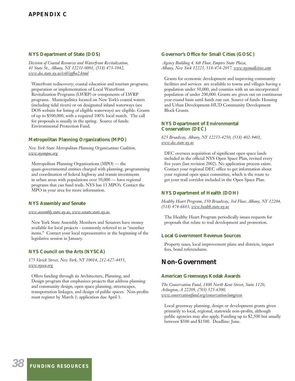# **APPENDIX C**

#### **NYS Department of State (DOS)**

*Division of Coastal Resources and Waterfront Revitalization, 41 State St., Albany, NY 12231-0001, (518) 473-3942, www.dos.state.ny.us/cstl/epfba2.html*

Waterfront rediscovery; coastal education and tourism programs; preparation or implementation of Local Waterfront Revitalization Programs (LWRP) or components of LWRP programs. Municipalities located on New York's coastal waters (including tidal rivers) or on designated inland waterways (see DOS website for listing of eligible waterways) are eligible. Grants of up to \$500,000, with a required 100% local match. The call for proposals is usually in the spring. Source of funds: Environmental Protection Fund.

#### **Metropolitan Planning Organizations (MPO)**

*New York State Metropolitan Planning Organizations Coalition, www.nysmpos.org*

Metropolitan Planning Organizations (MPO) — the quasi-governmental entities charged with planning, programming and coordination of federal highway and transit investments in urban areas with populations over 50,000 — have regional programs that can fund trails. NYS has 13 MPO's. Contact the MPO in your area for more information.

#### **NYS Assembly and Senate**

*www.assembly.state.ny.us, www.senate.state.ny.us* 

New York State Assembly Members and Senators have money available for local projects - commonly referred to as "member items." Contact your local representative at the beginning of the legislative session in January.

#### **NYS Council on the Arts (NYSCA)**

*175 Varick Street, New York, NY 10014, 212-627-4455, www.nysca.org*

Offers funding through its Architecture, Planning, and Design program that emphasizes projects that address planning and community design, open space planning, streetscapes, transportation linkages, and design of public spaces. Non-profits must register by March 1; application due April 1.

#### **Governor's Office for Small Cities (GOSC)**

*Agency Building 4, 6th Floor, Empire State Plaza, Albany, New York 12223, 518-474-2057. www.nysmallcities.com*

Grants for economic development and improving community facilities and services are available to towns and villages having a population under 50,000, and counties with an un-incorporated population of under 200,000. Grants are given out on continuous year-round basis until funds run out. Source of funds: Housing and Urban Development-HUD Community Development Block Grants.

#### **NYS Department of Environmental Conservation (DEC)**

*625 Broadway, Albany, NY 12233-4250, (518) 402-9401, www.dec.state.ny.us*

DEC oversees acquisition of significant open space lands included in the official NYS Open Space Plan, revised every five years (last revision 2002). No application process exists. Contact your regional DEC office to get information about your regional open space committee, which is the route to get your trail corridor included in the Open Space Plan.

#### **NYS Department of Health (DOH)**

*Healthy Heart Program, 150 Broadway, 3rd Floor, Albany, NY 12204, (518) 474-6683, www.health.state.ny.us*

The Healthy Heart Program periodically issues requests for proposals that relate to trail development and promotion.

#### **Local Government Revenue Sources**

Property taxes, local improvement plans and districts, impact fees, bond referendums.

# **Non-Government**

#### **American Greenways Kodak Awards**

*The Conservation Fund, 1800 North Kent Street, Suite 1120, Arlington, A 22209, (703) 525-6300, www.conservationfund.org/conservation/amgreen*

Local greenway planning, design or development grants given primarily to local, regional, statewide non-profits, although public agencies may also apply. Funding up to \$2,500 but usually between \$500 and \$1500. Deadline: June.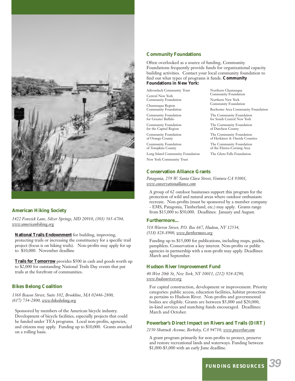

## **American Hiking Society**

*1422 Fenwick Lane, Silver Springs, MD 20910, (301) 565-6704, www:americanhiking.org*

**National Trails Endownment** for building, improving, protecting trails or increasing the constituency for a specific trail project (focus is on hiking trails). Non-profits may apply for up to \$10,000. November deadline

**Trails for Tomorrow** provides \$500 in cash and goods worth up to \$2,000 for outstanding National Trails Day events that put trails at the forefront of communities.

#### **Bikes Belong Coalition**

*1368 Beacon Street, Suite 102, Brookline, MA 02446-2800, (617) 734-2800, www:bikesbelong.org*

Sponsored by members of the American bicycle industry. Development of bicycle facilities, especially projects that could be funded under TEA programs. Local non-profits, agencies, and citizens may apply. Funding up to \$10,000. Grants awarded on a rolling basis.

#### **Community Foundations**

Often overlooked as a source of funding, Community Foundations frequently provide funds for organizational capacity building activities. Contact your local community foundation to find out what types of programs it funds. **Community Foundations in New York:**

Adirondack Community Trust

Central New York Community Foundation

Chautauqua Region Community Foundation Community Foundation

for Greater Buffalo Community Foundation

for the Capital Region Community Foundation

of Orange County Community Foundation

of Tompkins County Long Island Community Foundation

New York Community Trust

Northern New York Community Foundation Rochester Area Community Foundation The Community Foundation for South Central New York The Community Foundation of Dutchess County The Community Foundation of Herkimer & Oneida Counties The Community Foundation of the Elmira-Corning Area The Glens Falls Foundation.

Northern Chautauqua Community Foundation

#### **Conservation Alliance Grants**

*Patagonia, 259 W. Santa Clara Street, Ventura CA 93001, www.conservationalliance.com*

A group of 62 outdoor businesses support this program for the protection of wild and natural areas where outdoor enthusiasts recreate. Non-profits (must be sponsored by a member company - EMS, Patagonia, Timberland, etc.) may apply. Grants range from \$15,000 to \$50,000. Deadlines: January and August.

#### **Furthermore...**

*518 Warren Street, P.O. Box 667, Hudson, NY 12534, (518) 828-8900, www.furthermore.org*

Funding up to \$15,000 for publications, including maps, guides, pamphlets. Conservation a key interest. Non-profits or public agencies in partnership with a non-profit may apply. Deadlines: March and September.

#### **Hudson River Improvement Fund**

*40 West 20th St, New York, NY 10011, (212) 924-8290, www.hudsonriver.org*

For capital construction, development or improvement. Priority categories: public access, education facilities, habitat protection as pertains to Hudson River. Non-profits and governmental bodies are eligible. Grants are between \$5,000 and \$20,000; in-kind services and matching funds encouraged. Deadlines: March and October.

# **Powerbar's Direct Impact on Rivers and Trails (DIRT)**

*2150 Shattuck Avenue, Berkeley, CA 94710, www.powerbar.com*

A grant program primarily for non-profits to protect, preserve and restore recreational lands and waterways. Funding between \$1,000-\$5,000 with an early June deadline.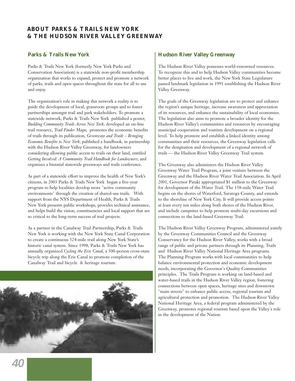# **ABOUT PARKS & TRAILS NEW YORK & THE HUDSON RIVER VALLEY GREENWAY**

# **Parks & Trails New York**

Parks & Trails New York (formerly New York Parks and Conservation Association) is a statewide non-profit membership organization that works to expand, protect and promote a network of parks, trails and open spaces throughout the state for all to use and enjoy.

The organization's role in making this network a reality is to guide the development of local, grassroots groups and to foster partnerships amongst trail and park stakeholders. To promote a statewide network, Parks & Trails New York published a poster, *Building Community Trails Across New York*; developed an on-line trail resource, *Trail Finder* Maps; promotes the economic benefits of trails through its publication, *Greenways and Trails – Bringing Economic Benefits to New York*; published a handbook, in partnership with the Hudson River Valley Greenway, for landowners considering allowing public access to trails on their land, entitled *Getting Involved: A Community Trail Handbook for Landowners*; and organizes a biennial statewide greenways and trails conference.

As part of a statewide effort to improve the health of New York's citizens, in 2003 Parks & Trails New York began a five-year program to help localities develop more "active community environments" through the creation of shared-use trails. With support from the NYS Department of Health, Parks & Trails New York presents public workshops, provides technical assistance, and helps build the vision, constituencies and local support that are so critical to the long-term success of trail projects.

As a partner in the Canalway Trail Partnership, Parks & Trails New York is working with the New York State Canal Corporation to create a continuous 524-mile trail along New York State's historic canal system. Since 1998, Parks & Trails New York has annually organized *Cycling the Erie Canal*, a 500-person cross-state bicycle trip along the Erie Canal to promote completion of the Canalway Trail and bicycle & heritage tourism.



# **Hudson River Valley Greenway**

The Hudson River Valley possesses world-renowned resources. To recognize this and to help Hudson Valley communities become better places to live and work, the New York State Legislature passed landmark legislation in 1991 establishing the Hudson River Valley Greenway.

The goals of the Greenway legislation are to protect and enhance the region's unique heritage, increase awareness and appreciation of its resources, and enhance the sustainability of local economies. The legislation also aims to promote a broader identity for the Hudson River Valley's communities and resources by encouraging municipal cooperation and tourism development on a regional level. To help promote and establish a linked identity among communities and their resources, the Greenway legislation calls for the designation and development of a regional network of trails — the Hudson River Valley Greenway Trail system.

The Greenway also administers the Hudson River Valley Greenway Water Trail Program, a joint venture between the Greenway and the Hudson River Water Trail Association. In April 2001, Governor Pataki appropriated \$1 million to the Greenway for development of the Water Trail. The 158-mile Water Trail begins on the shores of Waterford, Saratoga County, and extends to the shoreline of New York City. It will provide access points at least every ten miles along both shores of the Hudson River, and include campsites to help promote multi-day excursions and connections to the land-based Greenway Trail.

The Hudson River Valley Greenway Program, administered jointly by the Greenway Communities Council and the Greenway Conservancy for the Hudson River Valley, works with a broad range of public and private partners through its Planning, Trails and Hudson River Valley National Heritage Area programs. The Planning Program works with local communities to help balance environmental protection and economic development needs, incorporating the Governor's Quality Communities principles. The Trails Program is working on land-based and water-based trails in the Hudson River Valley region, fostering connections between open spaces, heritage sites and downtown "main streets" to enhance public access, regional tourism and agricultural protection and promotion. The Hudson River Valley National Heritage Area, a federal program administered by the Greenway, promotes regional tourism based upon the Valley's role in the development of the Nation.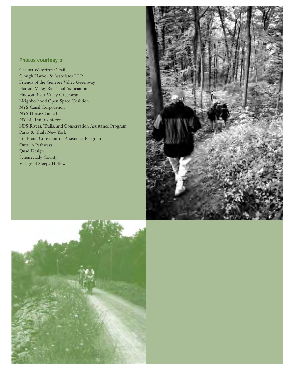# **Photos courtesy of:**

Cayuga Waterfront Trail Clough Harbor & Associates LLP Friends of the Genesee Valley Greenway Harlem Valley Rail-Trail Association Hudson River Valley Greenway Neighborhood Open Space Coalition NYS Canal Corporation NYS Horse Council NY-NJ Trail Conference NPS Rivers, Trails, and Conservation Assistance Program Parks & Trails New York Trails and Conservation Assistance Program Ontario Pathways Quad Design Schenectady County Village of Sleepy Hollow